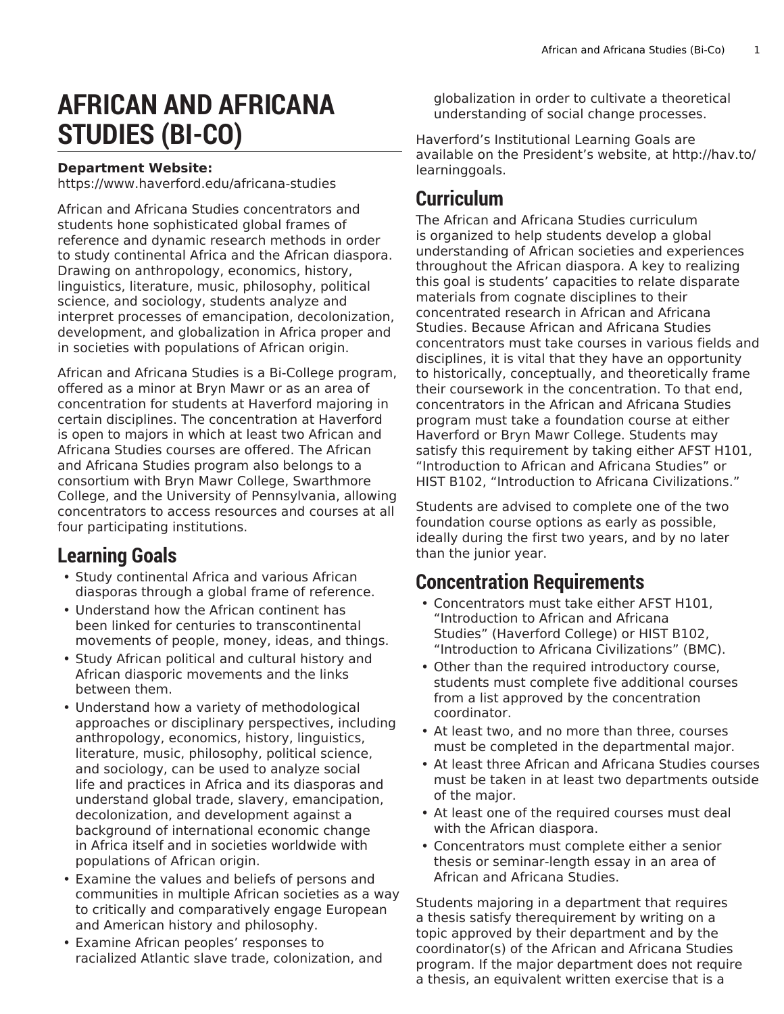# **AFRICAN AND AFRICANA STUDIES (BI-CO)**

# **Department Website:**

[https://www.haverford.edu/africana-studies](https://www.haverford.edu/africana-studies/)

African and Africana Studies concentrators and students hone sophisticated global frames of reference and dynamic research methods in order to study continental Africa and the African diaspora. Drawing on anthropology, economics, history, linguistics, literature, music, philosophy, political science, and sociology, students analyze and interpret processes of emancipation, decolonization, development, and globalization in Africa proper and in societies with populations of African origin.

African and Africana Studies is a Bi-College program, offered as a minor at Bryn Mawr or as an area of concentration for students at Haverford majoring in certain disciplines. The concentration at Haverford is open to majors in which at least two African and Africana Studies courses are offered. The African and Africana Studies program also belongs to a consortium with Bryn Mawr College, Swarthmore College, and the University of Pennsylvania, allowing concentrators to access resources and courses at all four participating institutions.

# **Learning Goals**

- Study continental Africa and various African diasporas through a global frame of reference.
- Understand how the African continent has been linked for centuries to transcontinental movements of people, money, ideas, and things.
- Study African political and cultural history and African diasporic movements and the links between them.
- Understand how a variety of methodological approaches or disciplinary perspectives, including anthropology, economics, history, linguistics, literature, music, philosophy, political science, and sociology, can be used to analyze social life and practices in Africa and its diasporas and understand global trade, slavery, emancipation, decolonization, and development against a background of international economic change in Africa itself and in societies worldwide with populations of African origin.
- Examine the values and beliefs of persons and communities in multiple African societies as a way to critically and comparatively engage European and American history and philosophy.
- Examine African peoples' responses to racialized Atlantic slave trade, colonization, and

globalization in order to cultivate a theoretical understanding of social change processes.

Haverford's Institutional Learning Goals are available on the President's website, at [http://hav.to/](http://hav.to/learninggoals/) [learninggoals](http://hav.to/learninggoals/).

# **Curriculum**

The African and Africana Studies curriculum is organized to help students develop a global understanding of African societies and experiences throughout the African diaspora. A key to realizing this goal is students' capacities to relate disparate materials from cognate disciplines to their concentrated research in African and Africana Studies. Because African and Africana Studies concentrators must take courses in various fields and disciplines, it is vital that they have an opportunity to historically, conceptually, and theoretically frame their coursework in the concentration. To that end, concentrators in the African and Africana Studies program must take a foundation course at either Haverford or Bryn Mawr College. Students may satisfy this requirement by taking either AFST H101, "Introduction to African and Africana Studies" or HIST B102, "Introduction to Africana Civilizations."

Students are advised to complete one of the two foundation course options as early as possible, ideally during the first two years, and by no later than the junior year.

# **Concentration Requirements**

- Concentrators must take either AFST H101, "Introduction to African and Africana Studies" (Haverford College) or HIST B102, "Introduction to Africana Civilizations" (BMC).
- Other than the required introductory course, students must complete five additional courses from a list approved by the concentration coordinator.
- At least two, and no more than three, courses must be completed in the departmental major.
- At least three African and Africana Studies courses must be taken in at least two departments outside of the major.
- At least one of the required courses must deal with the African diaspora.
- Concentrators must complete either a senior thesis or seminar-length essay in an area of African and Africana Studies.

Students majoring in a department that requires a thesis satisfy therequirement by writing on a topic approved by their department and by the coordinator(s) of the African and Africana Studies program. If the major department does not require a thesis, an equivalent written exercise that is a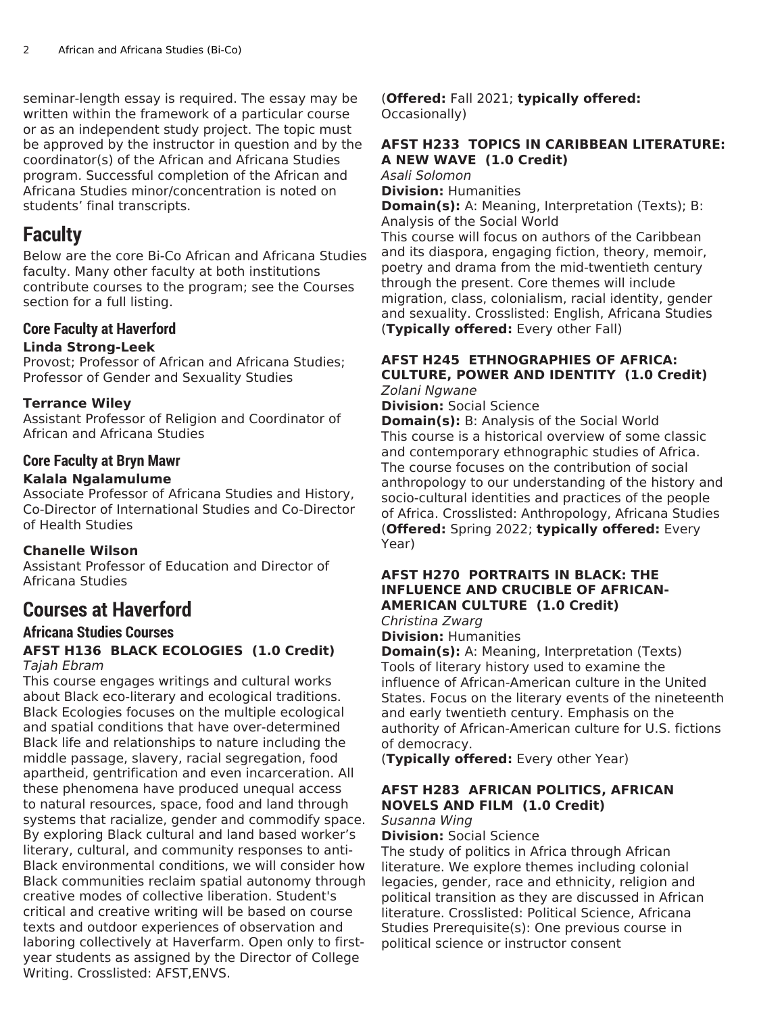seminar-length essay is required. The essay may be written within the framework of a particular course or as an independent study project. The topic must be approved by the instructor in question and by the coordinator(s) of the African and Africana Studies program. Successful completion of the African and Africana Studies minor/concentration is noted on students' final transcripts.

# **Faculty**

Below are the core Bi-Co African and Africana Studies faculty. Many other faculty at both institutions contribute courses to the program; see the [Courses](#page-1-0) section for a full listing.

# **Core Faculty at Haverford**

# **Linda Strong-Leek**

Provost; Professor of African and Africana Studies; Professor of Gender and Sexuality Studies

# **Terrance Wiley**

Assistant Professor of Religion and Coordinator of African and Africana Studies

# **Core Faculty at Bryn Mawr**

# **Kalala Ngalamulume**

Associate Professor of Africana Studies and History, Co-Director of International Studies and Co-Director of Health Studies

# **Chanelle Wilson**

Assistant Professor of Education and Director of Africana Studies

# <span id="page-1-0"></span>**Courses at Haverford**

# **Africana Studies Courses**

#### **AFST H136 BLACK ECOLOGIES (1.0 Credit)** *Tajah Ebram*

This course engages writings and cultural works about Black eco-literary and ecological traditions. Black Ecologies focuses on the multiple ecological and spatial conditions that have over-determined Black life and relationships to nature including the middle passage, slavery, racial segregation, food apartheid, gentrification and even incarceration. All these phenomena have produced unequal access to natural resources, space, food and land through systems that racialize, gender and commodify space. By exploring Black cultural and land based worker's literary, cultural, and community responses to anti-Black environmental conditions, we will consider how Black communities reclaim spatial autonomy through creative modes of collective liberation. Student's critical and creative writing will be based on course texts and outdoor experiences of observation and laboring collectively at Haverfarm. Open only to firstyear students as assigned by the Director of College Writing. Crosslisted: AFST,ENVS.

(**Offered:** Fall 2021; **typically offered:** Occasionally)

# **AFST H233 TOPICS IN CARIBBEAN LITERATURE: A NEW WAVE (1.0 Credit)**

*Asali Solomon* **Division:** Humanities **Domain(s):** A: Meaning, Interpretation (Texts); B: Analysis of the Social World This course will focus on authors of the Caribbean and its diaspora, engaging fiction, theory, memoir, poetry and drama from the mid-twentieth century through the present. Core themes will include migration, class, colonialism, racial identity, gender and sexuality. Crosslisted: English, Africana Studies (**Typically offered:** Every other Fall)

# **AFST H245 ETHNOGRAPHIES OF AFRICA: CULTURE, POWER AND IDENTITY (1.0 Credit)**

*Zolani Ngwane*

**Division:** Social Science **Domain(s):** B: Analysis of the Social World This course is a historical overview of some classic and contemporary ethnographic studies of Africa.

The course focuses on the contribution of social anthropology to our understanding of the history and socio-cultural identities and practices of the people of Africa. Crosslisted: Anthropology, Africana Studies (**Offered:** Spring 2022; **typically offered:** Every Year)

# **AFST H270 PORTRAITS IN BLACK: THE INFLUENCE AND CRUCIBLE OF AFRICAN-AMERICAN CULTURE (1.0 Credit)**

*Christina Zwarg* **Division:** Humanities

**Domain(s):** A: Meaning, Interpretation (Texts) Tools of literary history used to examine the influence of African-American culture in the United States. Focus on the literary events of the nineteenth and early twentieth century. Emphasis on the authority of African-American culture for U.S. fictions of democracy.

(**Typically offered:** Every other Year)

# **AFST H283 AFRICAN POLITICS, AFRICAN NOVELS AND FILM (1.0 Credit)**

# *Susanna Wing*

**Division:** Social Science

The study of politics in Africa through African literature. We explore themes including colonial legacies, gender, race and ethnicity, religion and political transition as they are discussed in African literature. Crosslisted: Political Science, Africana Studies Prerequisite(s): One previous course in political science or instructor consent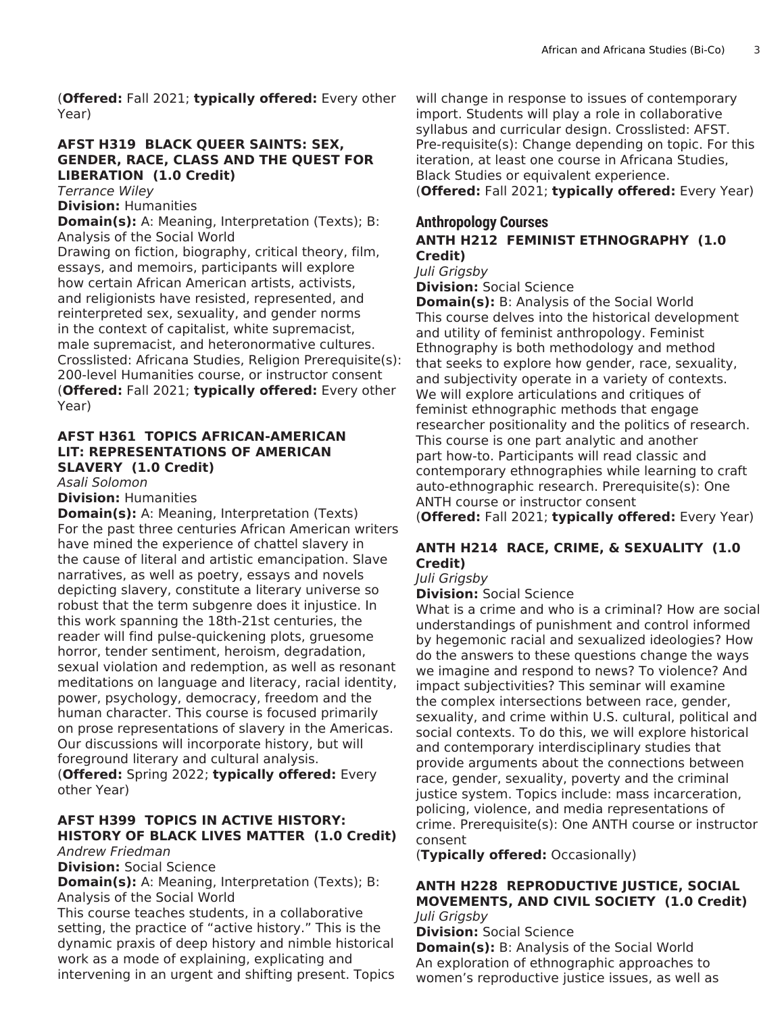(**Offered:** Fall 2021; **typically offered:** Every other Year)

# **AFST H319 BLACK QUEER SAINTS: SEX, GENDER, RACE, CLASS AND THE QUEST FOR LIBERATION (1.0 Credit)**

*Terrance Wiley*

#### **Division:** Humanities

**Domain(s):** A: Meaning, Interpretation (Texts); B: Analysis of the Social World

Drawing on fiction, biography, critical theory, film, essays, and memoirs, participants will explore how certain African American artists, activists, and religionists have resisted, represented, and reinterpreted sex, sexuality, and gender norms in the context of capitalist, white supremacist, male supremacist, and heteronormative cultures. Crosslisted: Africana Studies, Religion Prerequisite(s): 200-level Humanities course, or instructor consent (**Offered:** Fall 2021; **typically offered:** Every other Year)

#### **AFST H361 TOPICS AFRICAN-AMERICAN LIT: REPRESENTATIONS OF AMERICAN SLAVERY (1.0 Credit)**

*Asali Solomon*

**Division:** Humanities

**Domain(s):** A: Meaning, Interpretation (Texts) For the past three centuries African American writers have mined the experience of chattel slavery in the cause of literal and artistic emancipation. Slave narratives, as well as poetry, essays and novels depicting slavery, constitute a literary universe so robust that the term subgenre does it injustice. In this work spanning the 18th-21st centuries, the reader will find pulse-quickening plots, gruesome horror, tender sentiment, heroism, degradation, sexual violation and redemption, as well as resonant meditations on language and literacy, racial identity, power, psychology, democracy, freedom and the human character. This course is focused primarily on prose representations of slavery in the Americas. Our discussions will incorporate history, but will foreground literary and cultural analysis. (**Offered:** Spring 2022; **typically offered:** Every other Year)

#### **AFST H399 TOPICS IN ACTIVE HISTORY: HISTORY OF BLACK LIVES MATTER (1.0 Credit)** *Andrew Friedman*

**Division:** Social Science

**Domain(s):** A: Meaning, Interpretation (Texts); B: Analysis of the Social World

This course teaches students, in a collaborative setting, the practice of "active history." This is the dynamic praxis of deep history and nimble historical work as a mode of explaining, explicating and intervening in an urgent and shifting present. Topics

will change in response to issues of contemporary import. Students will play a role in collaborative syllabus and curricular design. Crosslisted: AFST. Pre-requisite(s): Change depending on topic. For this iteration, at least one course in Africana Studies, Black Studies or equivalent experience. (**Offered:** Fall 2021; **typically offered:** Every Year)

### **Anthropology Courses ANTH H212 FEMINIST ETHNOGRAPHY (1.0 Credit)**

#### *Juli Grigsby*

**Division:** Social Science

**Domain(s):** B: Analysis of the Social World This course delves into the historical development and utility of feminist anthropology. Feminist Ethnography is both methodology and method that seeks to explore how gender, race, sexuality, and subjectivity operate in a variety of contexts. We will explore articulations and critiques of feminist ethnographic methods that engage researcher positionality and the politics of research. This course is one part analytic and another part how-to. Participants will read classic and contemporary ethnographies while learning to craft auto-ethnographic research. Prerequisite(s): One ANTH course or instructor consent

(**Offered:** Fall 2021; **typically offered:** Every Year)

# **ANTH H214 RACE, CRIME, & SEXUALITY (1.0 Credit)**

*Juli Grigsby*

**Division:** Social Science

What is a crime and who is a criminal? How are social understandings of punishment and control informed by hegemonic racial and sexualized ideologies? How do the answers to these questions change the ways we imagine and respond to news? To violence? And impact subjectivities? This seminar will examine the complex intersections between race, gender, sexuality, and crime within U.S. cultural, political and social contexts. To do this, we will explore historical and contemporary interdisciplinary studies that provide arguments about the connections between race, gender, sexuality, poverty and the criminal justice system. Topics include: mass incarceration, policing, violence, and media representations of crime. Prerequisite(s): One ANTH course or instructor consent

(**Typically offered:** Occasionally)

### **ANTH H228 REPRODUCTIVE JUSTICE, SOCIAL MOVEMENTS, AND CIVIL SOCIETY (1.0 Credit)** *Juli Grigsby*

**Division:** Social Science

**Domain(s):** B: Analysis of the Social World An exploration of ethnographic approaches to women's reproductive justice issues, as well as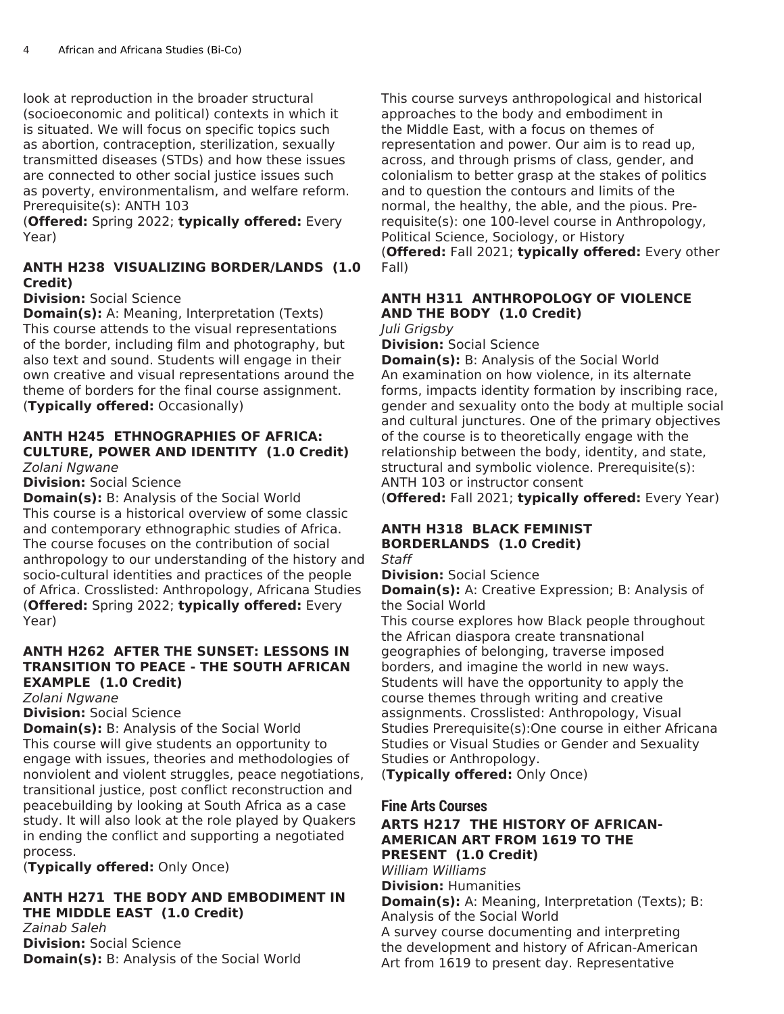look at reproduction in the broader structural (socioeconomic and political) contexts in which it is situated. We will focus on specific topics such as abortion, contraception, sterilization, sexually transmitted diseases (STDs) and how these issues are connected to other social justice issues such as poverty, environmentalism, and welfare reform. Prerequisite(s): ANTH 103

(**Offered:** Spring 2022; **typically offered:** Every Year)

## **ANTH H238 VISUALIZING BORDER/LANDS (1.0 Credit)**

#### **Division:** Social Science

**Domain(s):** A: Meaning, Interpretation (Texts) This course attends to the visual representations of the border, including film and photography, but also text and sound. Students will engage in their own creative and visual representations around the theme of borders for the final course assignment. (**Typically offered:** Occasionally)

#### **ANTH H245 ETHNOGRAPHIES OF AFRICA: CULTURE, POWER AND IDENTITY (1.0 Credit)** *Zolani Ngwane*

**Division:** Social Science

**Domain(s):** B: Analysis of the Social World This course is a historical overview of some classic and contemporary ethnographic studies of Africa. The course focuses on the contribution of social anthropology to our understanding of the history and socio-cultural identities and practices of the people of Africa. Crosslisted: Anthropology, Africana Studies (**Offered:** Spring 2022; **typically offered:** Every Year)

# **ANTH H262 AFTER THE SUNSET: LESSONS IN TRANSITION TO PEACE - THE SOUTH AFRICAN EXAMPLE (1.0 Credit)**

*Zolani Ngwane*

**Division:** Social Science

**Domain(s):** B: Analysis of the Social World This course will give students an opportunity to engage with issues, theories and methodologies of nonviolent and violent struggles, peace negotiations, transitional justice, post conflict reconstruction and peacebuilding by looking at South Africa as a case study. It will also look at the role played by Quakers in ending the conflict and supporting a negotiated process.

(**Typically offered:** Only Once)

#### **ANTH H271 THE BODY AND EMBODIMENT IN THE MIDDLE EAST (1.0 Credit)** *Zainab Saleh*

**Division:** Social Science **Domain(s):** B: Analysis of the Social World This course surveys anthropological and historical approaches to the body and embodiment in the Middle East, with a focus on themes of representation and power. Our aim is to read up, across, and through prisms of class, gender, and colonialism to better grasp at the stakes of politics and to question the contours and limits of the normal, the healthy, the able, and the pious. Prerequisite(s): one 100-level course in Anthropology, Political Science, Sociology, or History (**Offered:** Fall 2021; **typically offered:** Every other Fall)

## **ANTH H311 ANTHROPOLOGY OF VIOLENCE AND THE BODY (1.0 Credit)**

*Juli Grigsby*

**Division:** Social Science

**Domain(s):** B: Analysis of the Social World An examination on how violence, in its alternate forms, impacts identity formation by inscribing race, gender and sexuality onto the body at multiple social and cultural junctures. One of the primary objectives of the course is to theoretically engage with the relationship between the body, identity, and state, structural and symbolic violence. Prerequisite(s): ANTH 103 or instructor consent

(**Offered:** Fall 2021; **typically offered:** Every Year)

# **ANTH H318 BLACK FEMINIST BORDERLANDS (1.0 Credit)**

*Staff*

**Division:** Social Science

**Domain(s):** A: Creative Expression; B: Analysis of the Social World

This course explores how Black people throughout the African diaspora create transnational geographies of belonging, traverse imposed borders, and imagine the world in new ways. Students will have the opportunity to apply the course themes through writing and creative assignments. Crosslisted: Anthropology, Visual Studies Prerequisite(s):One course in either Africana Studies or Visual Studies or Gender and Sexuality Studies or Anthropology.

(**Typically offered:** Only Once)

### **Fine Arts Courses**

## **ARTS H217 THE HISTORY OF AFRICAN-AMERICAN ART FROM 1619 TO THE PRESENT (1.0 Credit)**

*William Williams*

**Division:** Humanities

**Domain(s):** A: Meaning, Interpretation (Texts); B: Analysis of the Social World A survey course documenting and interpreting the development and history of African-American Art from 1619 to present day. Representative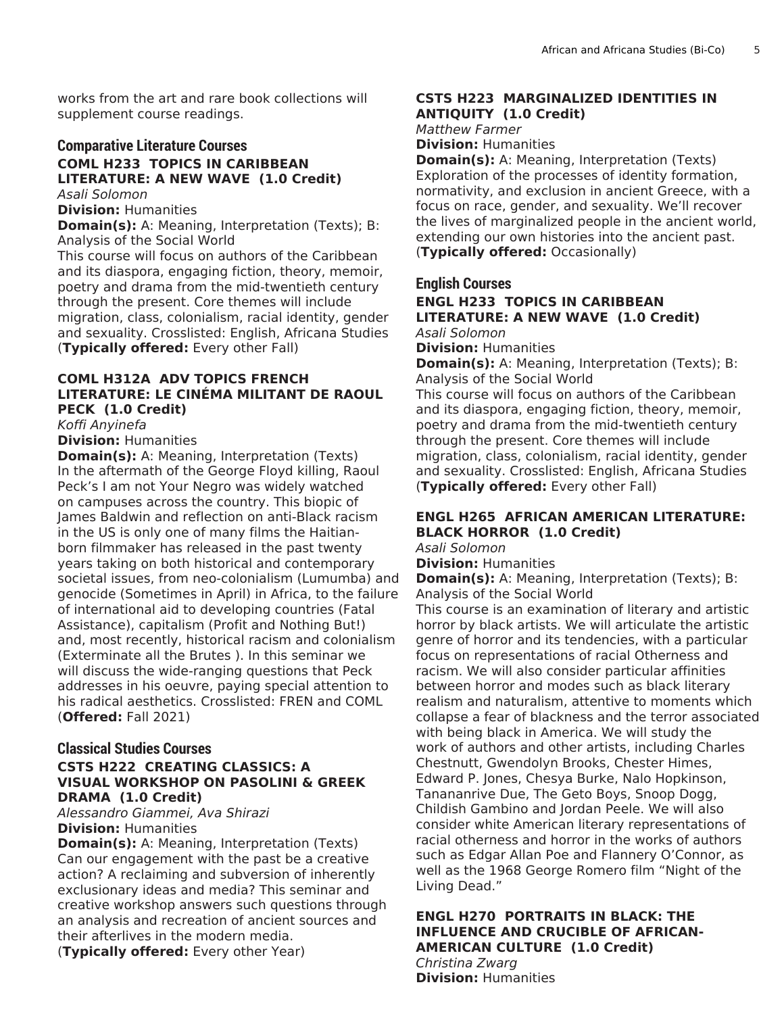works from the art and rare book collections will supplement course readings.

#### **Comparative Literature Courses COML H233 TOPICS IN CARIBBEAN LITERATURE: A NEW WAVE (1.0 Credit)** *Asali Solomon*

**Division:** Humanities

**Domain(s):** A: Meaning, Interpretation (Texts); B: Analysis of the Social World

This course will focus on authors of the Caribbean and its diaspora, engaging fiction, theory, memoir, poetry and drama from the mid-twentieth century through the present. Core themes will include migration, class, colonialism, racial identity, gender and sexuality. Crosslisted: English, Africana Studies (**Typically offered:** Every other Fall)

# **COML H312A ADV TOPICS FRENCH LITERATURE: LE CINÉMA MILITANT DE RAOUL PECK (1.0 Credit)**

*Koffi Anyinefa*

**Division:** Humanities

**Domain(s):** A: Meaning, Interpretation (Texts) In the aftermath of the George Floyd killing, Raoul Peck's I am not Your Negro was widely watched on campuses across the country. This biopic of James Baldwin and reflection on anti-Black racism in the US is only one of many films the Haitianborn filmmaker has released in the past twenty years taking on both historical and contemporary societal issues, from neo-colonialism (Lumumba) and genocide (Sometimes in April) in Africa, to the failure of international aid to developing countries (Fatal Assistance), capitalism (Profit and Nothing But!) and, most recently, historical racism and colonialism (Exterminate all the Brutes ). In this seminar we will discuss the wide-ranging questions that Peck addresses in his oeuvre, paying special attention to his radical aesthetics. Crosslisted: FREN and COML (**Offered:** Fall 2021)

### **Classical Studies Courses CSTS H222 CREATING CLASSICS: A VISUAL WORKSHOP ON PASOLINI & GREEK DRAMA (1.0 Credit)**

*Alessandro Giammei, Ava Shirazi* **Division:** Humanities

**Domain(s):** A: Meaning, Interpretation (Texts) Can our engagement with the past be a creative action? A reclaiming and subversion of inherently exclusionary ideas and media? This seminar and creative workshop answers such questions through an analysis and recreation of ancient sources and their afterlives in the modern media.

(**Typically offered:** Every other Year)

## **CSTS H223 MARGINALIZED IDENTITIES IN ANTIQUITY (1.0 Credit)**

*Matthew Farmer*

**Division:** Humanities

**Domain(s):** A: Meaning, Interpretation (Texts) Exploration of the processes of identity formation, normativity, and exclusion in ancient Greece, with a focus on race, gender, and sexuality. We'll recover the lives of marginalized people in the ancient world, extending our own histories into the ancient past. (**Typically offered:** Occasionally)

## **English Courses**

#### **ENGL H233 TOPICS IN CARIBBEAN LITERATURE: A NEW WAVE (1.0 Credit)** *Asali Solomon*

**Division:** Humanities

**Domain(s):** A: Meaning, Interpretation (Texts); B: Analysis of the Social World

This course will focus on authors of the Caribbean and its diaspora, engaging fiction, theory, memoir, poetry and drama from the mid-twentieth century through the present. Core themes will include migration, class, colonialism, racial identity, gender and sexuality. Crosslisted: English, Africana Studies (**Typically offered:** Every other Fall)

# **ENGL H265 AFRICAN AMERICAN LITERATURE: BLACK HORROR (1.0 Credit)**

*Asali Solomon*

**Division:** Humanities

**Domain(s):** A: Meaning, Interpretation (Texts); B: Analysis of the Social World

This course is an examination of literary and artistic horror by black artists. We will articulate the artistic genre of horror and its tendencies, with a particular focus on representations of racial Otherness and racism. We will also consider particular affinities between horror and modes such as black literary realism and naturalism, attentive to moments which collapse a fear of blackness and the terror associated with being black in America. We will study the work of authors and other artists, including Charles Chestnutt, Gwendolyn Brooks, Chester Himes, Edward P. Jones, Chesya Burke, Nalo Hopkinson, Tanananrive Due, The Geto Boys, Snoop Dogg, Childish Gambino and Jordan Peele. We will also consider white American literary representations of racial otherness and horror in the works of authors such as Edgar Allan Poe and Flannery O'Connor, as well as the 1968 George Romero film "Night of the Living Dead."

#### **ENGL H270 PORTRAITS IN BLACK: THE INFLUENCE AND CRUCIBLE OF AFRICAN-AMERICAN CULTURE (1.0 Credit)** *Christina Zwarg*

**Division:** Humanities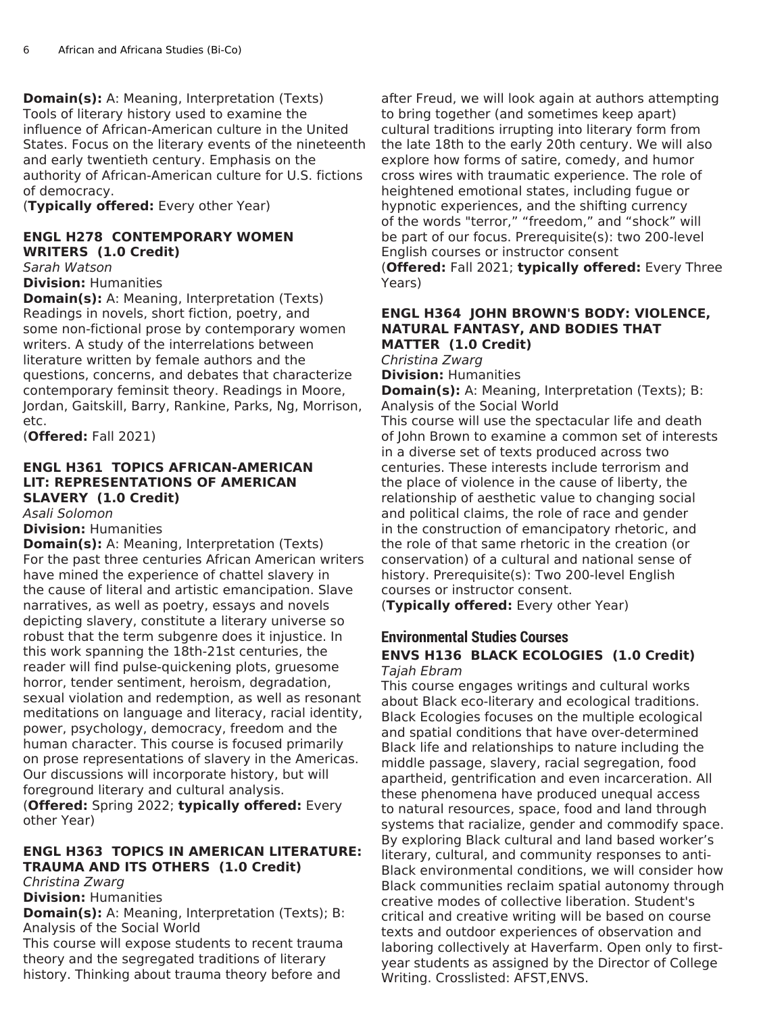**Domain(s):** A: Meaning, Interpretation (Texts) Tools of literary history used to examine the influence of African-American culture in the United States. Focus on the literary events of the nineteenth and early twentieth century. Emphasis on the authority of African-American culture for U.S. fictions of democracy.

(**Typically offered:** Every other Year)

# **ENGL H278 CONTEMPORARY WOMEN WRITERS (1.0 Credit)**

*Sarah Watson*

**Division:** Humanities

**Domain(s):** A: Meaning, Interpretation (Texts) Readings in novels, short fiction, poetry, and some non-fictional prose by contemporary women writers. A study of the interrelations between literature written by female authors and the questions, concerns, and debates that characterize contemporary feminsit theory. Readings in Moore, Jordan, Gaitskill, Barry, Rankine, Parks, Ng, Morrison, etc.

(**Offered:** Fall 2021)

### **ENGL H361 TOPICS AFRICAN-AMERICAN LIT: REPRESENTATIONS OF AMERICAN SLAVERY (1.0 Credit)**

*Asali Solomon*

### **Division:** Humanities

**Domain(s):** A: Meaning, Interpretation (Texts) For the past three centuries African American writers have mined the experience of chattel slavery in the cause of literal and artistic emancipation. Slave narratives, as well as poetry, essays and novels depicting slavery, constitute a literary universe so robust that the term subgenre does it injustice. In this work spanning the 18th-21st centuries, the reader will find pulse-quickening plots, gruesome horror, tender sentiment, heroism, degradation, sexual violation and redemption, as well as resonant meditations on language and literacy, racial identity, power, psychology, democracy, freedom and the human character. This course is focused primarily on prose representations of slavery in the Americas. Our discussions will incorporate history, but will foreground literary and cultural analysis. (**Offered:** Spring 2022; **typically offered:** Every other Year)

# **ENGL H363 TOPICS IN AMERICAN LITERATURE: TRAUMA AND ITS OTHERS (1.0 Credit)**

*Christina Zwarg*

**Division:** Humanities

**Domain(s):** A: Meaning, Interpretation (Texts); B: Analysis of the Social World

This course will expose students to recent trauma theory and the segregated traditions of literary history. Thinking about trauma theory before and

after Freud, we will look again at authors attempting to bring together (and sometimes keep apart) cultural traditions irrupting into literary form from the late 18th to the early 20th century. We will also explore how forms of satire, comedy, and humor cross wires with traumatic experience. The role of heightened emotional states, including fugue or hypnotic experiences, and the shifting currency of the words "terror," "freedom," and "shock" will be part of our focus. Prerequisite(s): two 200-level English courses or instructor consent

(**Offered:** Fall 2021; **typically offered:** Every Three Years)

# **ENGL H364 JOHN BROWN'S BODY: VIOLENCE, NATURAL FANTASY, AND BODIES THAT MATTER (1.0 Credit)**

*Christina Zwarg* **Division:** Humanities

**Domain(s):** A: Meaning, Interpretation (Texts); B: Analysis of the Social World

This course will use the spectacular life and death of John Brown to examine a common set of interests in a diverse set of texts produced across two centuries. These interests include terrorism and the place of violence in the cause of liberty, the relationship of aesthetic value to changing social and political claims, the role of race and gender in the construction of emancipatory rhetoric, and the role of that same rhetoric in the creation (or conservation) of a cultural and national sense of history. Prerequisite(s): Two 200-level English courses or instructor consent.

(**Typically offered:** Every other Year)

### **Environmental Studies Courses**

### **ENVS H136 BLACK ECOLOGIES (1.0 Credit)** *Tajah Ebram*

This course engages writings and cultural works about Black eco-literary and ecological traditions. Black Ecologies focuses on the multiple ecological and spatial conditions that have over-determined Black life and relationships to nature including the middle passage, slavery, racial segregation, food apartheid, gentrification and even incarceration. All these phenomena have produced unequal access to natural resources, space, food and land through systems that racialize, gender and commodify space. By exploring Black cultural and land based worker's literary, cultural, and community responses to anti-Black environmental conditions, we will consider how Black communities reclaim spatial autonomy through creative modes of collective liberation. Student's critical and creative writing will be based on course texts and outdoor experiences of observation and laboring collectively at Haverfarm. Open only to firstyear students as assigned by the Director of College Writing. Crosslisted: AFST,ENVS.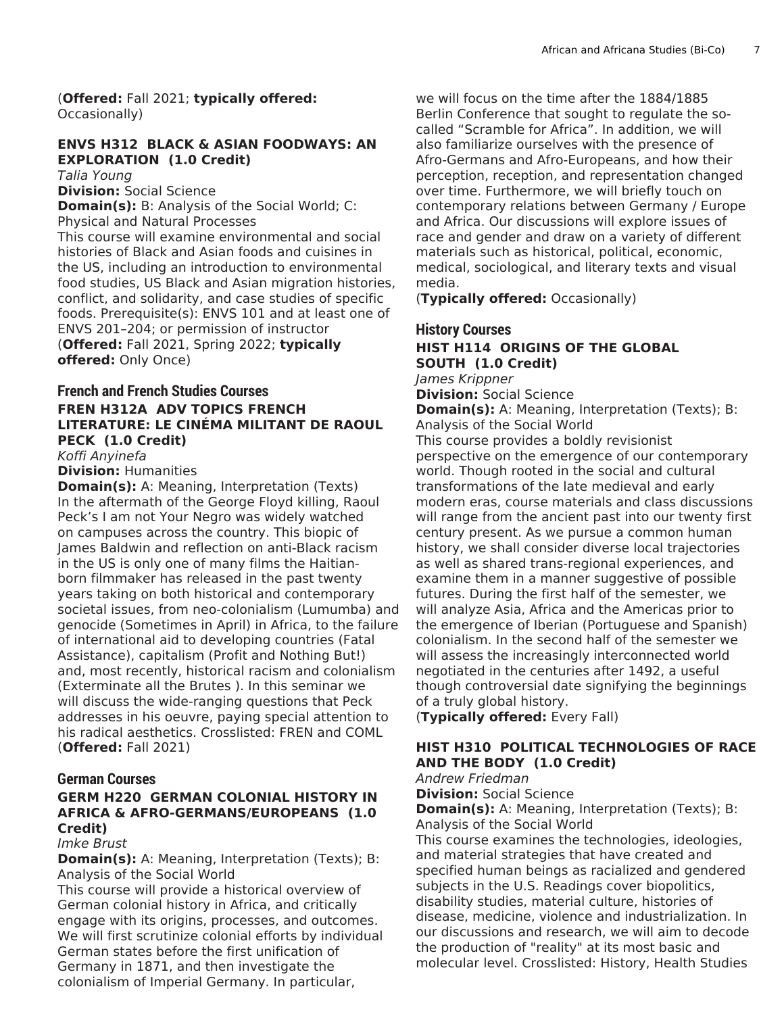(**Offered:** Fall 2021; **typically offered:** Occasionally)

## **ENVS H312 BLACK & ASIAN FOODWAYS: AN EXPLORATION (1.0 Credit)**

*Talia Young*

**Division:** Social Science **Domain(s):** B: Analysis of the Social World; C: Physical and Natural Processes This course will examine environmental and social histories of Black and Asian foods and cuisines in the US, including an introduction to environmental food studies, US Black and Asian migration histories, conflict, and solidarity, and case studies of specific foods. Prerequisite(s): ENVS 101 and at least one of ENVS 201–204; or permission of instructor (**Offered:** Fall 2021, Spring 2022; **typically offered:** Only Once)

# **French and French Studies Courses FREN H312A ADV TOPICS FRENCH LITERATURE: LE CINÉMA MILITANT DE RAOUL PECK (1.0 Credit)**

*Koffi Anyinefa*

**Division:** Humanities

**Domain(s):** A: Meaning, Interpretation (Texts) In the aftermath of the George Floyd killing, Raoul Peck's I am not Your Negro was widely watched on campuses across the country. This biopic of James Baldwin and reflection on anti-Black racism in the US is only one of many films the Haitianborn filmmaker has released in the past twenty years taking on both historical and contemporary societal issues, from neo-colonialism (Lumumba) and genocide (Sometimes in April) in Africa, to the failure of international aid to developing countries (Fatal Assistance), capitalism (Profit and Nothing But!) and, most recently, historical racism and colonialism (Exterminate all the Brutes ). In this seminar we will discuss the wide-ranging questions that Peck addresses in his oeuvre, paying special attention to his radical aesthetics. Crosslisted: FREN and COML (**Offered:** Fall 2021)

### **German Courses**

# **GERM H220 GERMAN COLONIAL HISTORY IN AFRICA & AFRO-GERMANS/EUROPEANS (1.0 Credit)**

#### *Imke Brust*

**Domain(s):** A: Meaning, Interpretation (Texts); B: Analysis of the Social World

This course will provide a historical overview of German colonial history in Africa, and critically engage with its origins, processes, and outcomes. We will first scrutinize colonial efforts by individual German states before the first unification of Germany in 1871, and then investigate the colonialism of Imperial Germany. In particular,

we will focus on the time after the 1884/1885 Berlin Conference that sought to regulate the socalled "Scramble for Africa". In addition, we will also familiarize ourselves with the presence of Afro-Germans and Afro-Europeans, and how their perception, reception, and representation changed over time. Furthermore, we will briefly touch on contemporary relations between Germany / Europe and Africa. Our discussions will explore issues of race and gender and draw on a variety of different materials such as historical, political, economic, medical, sociological, and literary texts and visual media.

(**Typically offered:** Occasionally)

#### **History Courses HIST H114 ORIGINS OF THE GLOBAL SOUTH (1.0 Credit)** *James Krippner*

**Division:** Social Science **Domain(s):** A: Meaning, Interpretation (Texts); B:

Analysis of the Social World

This course provides a boldly revisionist perspective on the emergence of our contemporary world. Though rooted in the social and cultural transformations of the late medieval and early modern eras, course materials and class discussions will range from the ancient past into our twenty first century present. As we pursue a common human history, we shall consider diverse local trajectories as well as shared trans-regional experiences, and examine them in a manner suggestive of possible futures. During the first half of the semester, we will analyze Asia, Africa and the Americas prior to the emergence of Iberian (Portuguese and Spanish) colonialism. In the second half of the semester we will assess the increasingly interconnected world negotiated in the centuries after 1492, a useful though controversial date signifying the beginnings of a truly global history.

(**Typically offered:** Every Fall)

# **HIST H310 POLITICAL TECHNOLOGIES OF RACE AND THE BODY (1.0 Credit)**

*Andrew Friedman*

**Division:** Social Science

**Domain(s):** A: Meaning, Interpretation (Texts); B: Analysis of the Social World

This course examines the technologies, ideologies, and material strategies that have created and specified human beings as racialized and gendered subjects in the U.S. Readings cover biopolitics, disability studies, material culture, histories of disease, medicine, violence and industrialization. In our discussions and research, we will aim to decode the production of "reality" at its most basic and molecular level. Crosslisted: History, Health Studies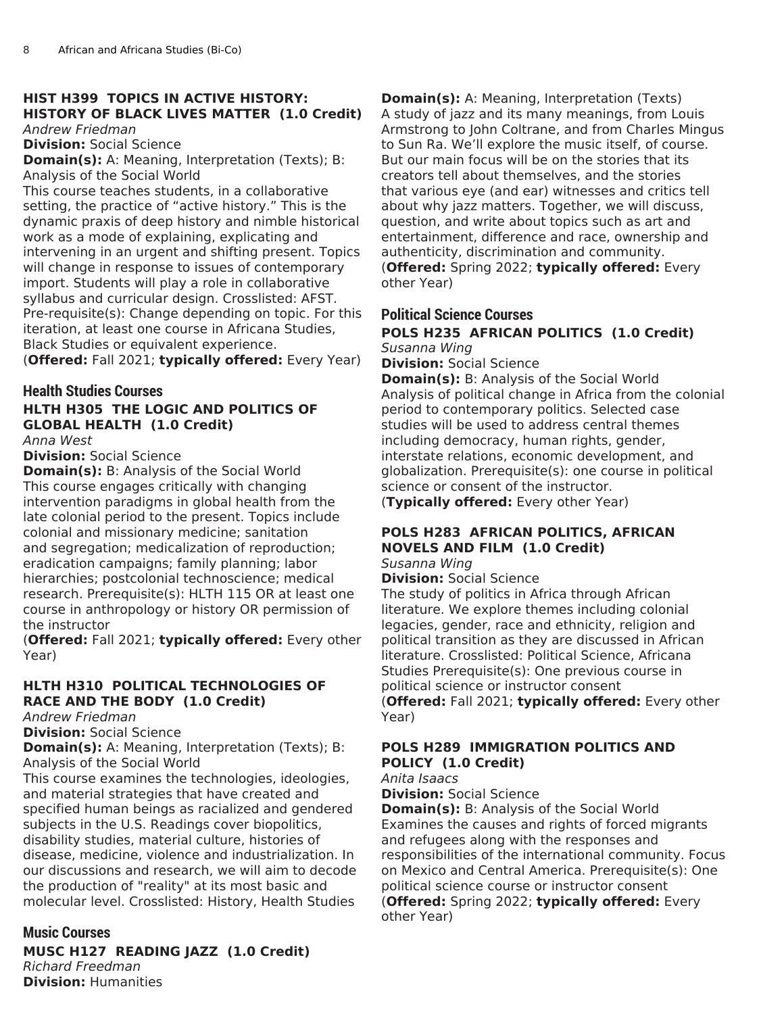#### **HIST H399 TOPICS IN ACTIVE HISTORY: HISTORY OF BLACK LIVES MATTER (1.0 Credit)** *Andrew Friedman*

**Division:** Social Science

**Domain(s):** A: Meaning, Interpretation (Texts); B: Analysis of the Social World

This course teaches students, in a collaborative setting, the practice of "active history." This is the dynamic praxis of deep history and nimble historical work as a mode of explaining, explicating and intervening in an urgent and shifting present. Topics will change in response to issues of contemporary import. Students will play a role in collaborative syllabus and curricular design. Crosslisted: AFST. Pre-requisite(s): Change depending on topic. For this iteration, at least one course in Africana Studies, Black Studies or equivalent experience.

(**Offered:** Fall 2021; **typically offered:** Every Year)

#### **Health Studies Courses HLTH H305 THE LOGIC AND POLITICS OF GLOBAL HEALTH (1.0 Credit)** *Anna West*

**Division:** Social Science

**Domain(s):** B: Analysis of the Social World This course engages critically with changing intervention paradigms in global health from the late colonial period to the present. Topics include colonial and missionary medicine; sanitation and segregation; medicalization of reproduction; eradication campaigns; family planning; labor hierarchies; postcolonial technoscience; medical research. Prerequisite(s): HLTH 115 OR at least one course in anthropology or history OR permission of the instructor

(**Offered:** Fall 2021; **typically offered:** Every other Year)

# **HLTH H310 POLITICAL TECHNOLOGIES OF RACE AND THE BODY (1.0 Credit)**

*Andrew Friedman*

**Division:** Social Science

**Domain(s):** A: Meaning, Interpretation (Texts); B: Analysis of the Social World

This course examines the technologies, ideologies, and material strategies that have created and specified human beings as racialized and gendered subjects in the U.S. Readings cover biopolitics, disability studies, material culture, histories of disease, medicine, violence and industrialization. In our discussions and research, we will aim to decode the production of "reality" at its most basic and molecular level. Crosslisted: History, Health Studies

# **Music Courses**

**MUSC H127 READING JAZZ (1.0 Credit)** *Richard Freedman* **Division:** Humanities

**Domain(s):** A: Meaning, Interpretation (Texts) A study of jazz and its many meanings, from Louis Armstrong to John Coltrane, and from Charles Mingus to Sun Ra. We'll explore the music itself, of course. But our main focus will be on the stories that its creators tell about themselves, and the stories that various eye (and ear) witnesses and critics tell about why jazz matters. Together, we will discuss, question, and write about topics such as art and entertainment, difference and race, ownership and authenticity, discrimination and community. (**Offered:** Spring 2022; **typically offered:** Every other Year)

#### **Political Science Courses POLS H235 AFRICAN POLITICS (1.0 Credit)** *Susanna Wing*

**Division:** Social Science

**Domain(s):** B: Analysis of the Social World Analysis of political change in Africa from the colonial period to contemporary politics. Selected case studies will be used to address central themes including democracy, human rights, gender, interstate relations, economic development, and globalization. Prerequisite(s): one course in political science or consent of the instructor. (**Typically offered:** Every other Year)

# **POLS H283 AFRICAN POLITICS, AFRICAN NOVELS AND FILM (1.0 Credit)**

*Susanna Wing*

**Division:** Social Science The study of politics in Africa through African literature. We explore themes including colonial legacies, gender, race and ethnicity, religion and political transition as they are discussed in African literature. Crosslisted: Political Science, Africana Studies Prerequisite(s): One previous course in political science or instructor consent (**Offered:** Fall 2021; **typically offered:** Every other Year)

# **POLS H289 IMMIGRATION POLITICS AND POLICY (1.0 Credit)**

*Anita Isaacs*

**Division:** Social Science

**Domain(s):** B: Analysis of the Social World Examines the causes and rights of forced migrants and refugees along with the responses and responsibilities of the international community. Focus on Mexico and Central America. Prerequisite(s): One political science course or instructor consent (**Offered:** Spring 2022; **typically offered:** Every other Year)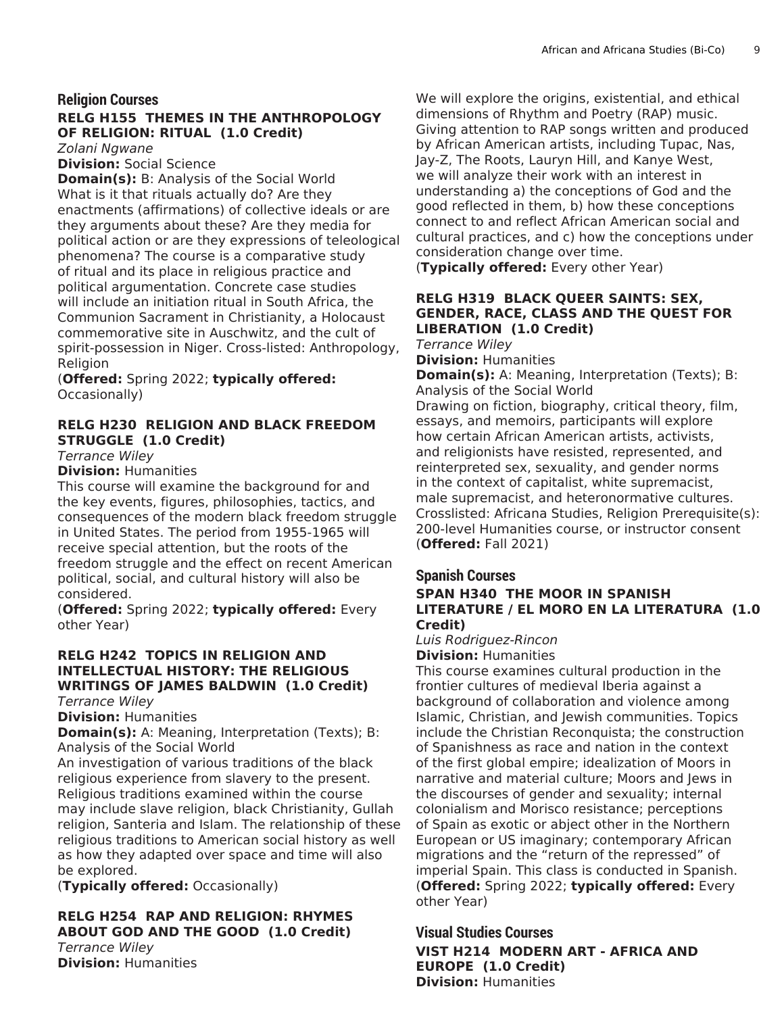#### **Religion Courses**

# **RELG H155 THEMES IN THE ANTHROPOLOGY OF RELIGION: RITUAL (1.0 Credit)**

*Zolani Ngwane*

#### **Division:** Social Science

**Domain(s):** B: Analysis of the Social World What is it that rituals actually do? Are they enactments (affirmations) of collective ideals or are they arguments about these? Are they media for political action or are they expressions of teleological phenomena? The course is a comparative study of ritual and its place in religious practice and political argumentation. Concrete case studies will include an initiation ritual in South Africa, the Communion Sacrament in Christianity, a Holocaust commemorative site in Auschwitz, and the cult of spirit-possession in Niger. Cross-listed: Anthropology, Religion

(**Offered:** Spring 2022; **typically offered:** Occasionally)

### **RELG H230 RELIGION AND BLACK FREEDOM STRUGGLE (1.0 Credit)**

*Terrance Wiley*

#### **Division:** Humanities

This course will examine the background for and the key events, figures, philosophies, tactics, and consequences of the modern black freedom struggle in United States. The period from 1955-1965 will receive special attention, but the roots of the freedom struggle and the effect on recent American political, social, and cultural history will also be considered.

(**Offered:** Spring 2022; **typically offered:** Every other Year)

# **RELG H242 TOPICS IN RELIGION AND INTELLECTUAL HISTORY: THE RELIGIOUS WRITINGS OF JAMES BALDWIN (1.0 Credit)**

*Terrance Wiley*

**Division:** Humanities

**Domain(s):** A: Meaning, Interpretation (Texts); B: Analysis of the Social World

An investigation of various traditions of the black religious experience from slavery to the present. Religious traditions examined within the course may include slave religion, black Christianity, Gullah religion, Santeria and Islam. The relationship of these religious traditions to American social history as well as how they adapted over space and time will also be explored.

(**Typically offered:** Occasionally)

**RELG H254 RAP AND RELIGION: RHYMES ABOUT GOD AND THE GOOD (1.0 Credit)** *Terrance Wiley* **Division:** Humanities

We will explore the origins, existential, and ethical dimensions of Rhythm and Poetry (RAP) music. Giving attention to RAP songs written and produced by African American artists, including Tupac, Nas, Jay-Z, The Roots, Lauryn Hill, and Kanye West, we will analyze their work with an interest in understanding a) the conceptions of God and the good reflected in them, b) how these conceptions connect to and reflect African American social and cultural practices, and c) how the conceptions under consideration change over time.

(**Typically offered:** Every other Year)

# **RELG H319 BLACK QUEER SAINTS: SEX, GENDER, RACE, CLASS AND THE QUEST FOR LIBERATION (1.0 Credit)**

*Terrance Wiley* **Division:** Humanities **Domain(s):** A: Meaning, Interpretation (Texts); B: Analysis of the Social World Drawing on fiction, biography, critical theory, film, essays, and memoirs, participants will explore how certain African American artists, activists, and religionists have resisted, represented, and reinterpreted sex, sexuality, and gender norms in the context of capitalist, white supremacist, male supremacist, and heteronormative cultures. Crosslisted: Africana Studies, Religion Prerequisite(s): 200-level Humanities course, or instructor consent (**Offered:** Fall 2021)

# **Spanish Courses SPAN H340 THE MOOR IN SPANISH LITERATURE / EL MORO EN LA LITERATURA (1.0 Credit)**

#### *Luis Rodriguez-Rincon* **Division:** Humanities

This course examines cultural production in the frontier cultures of medieval Iberia against a background of collaboration and violence among Islamic, Christian, and Jewish communities. Topics include the Christian Reconquista; the construction of Spanishness as race and nation in the context of the first global empire; idealization of Moors in narrative and material culture; Moors and Jews in the discourses of gender and sexuality; internal colonialism and Morisco resistance; perceptions of Spain as exotic or abject other in the Northern European or US imaginary; contemporary African migrations and the "return of the repressed" of imperial Spain. This class is conducted in Spanish. (**Offered:** Spring 2022; **typically offered:** Every other Year)

**Visual Studies Courses VIST H214 MODERN ART - AFRICA AND EUROPE (1.0 Credit) Division:** Humanities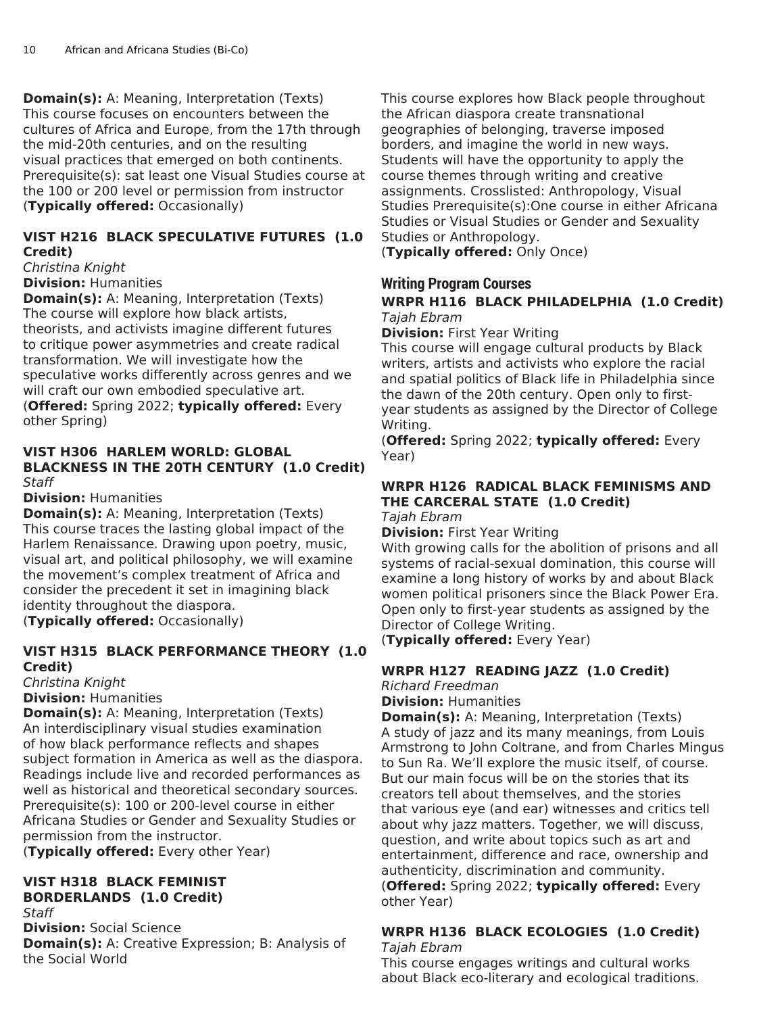**Domain(s):** A: Meaning, Interpretation (Texts) This course focuses on encounters between the cultures of Africa and Europe, from the 17th through the mid-20th centuries, and on the resulting visual practices that emerged on both continents. Prerequisite(s): sat least one Visual Studies course at the 100 or 200 level or permission from instructor (**Typically offered:** Occasionally)

# **VIST H216 BLACK SPECULATIVE FUTURES (1.0 Credit)**

# *Christina Knight*

**Division:** Humanities

**Domain(s):** A: Meaning, Interpretation (Texts) The course will explore how black artists, theorists, and activists imagine different futures to critique power asymmetries and create radical transformation. We will investigate how the speculative works differently across genres and we will craft our own embodied speculative art. (**Offered:** Spring 2022; **typically offered:** Every other Spring)

### **VIST H306 HARLEM WORLD: GLOBAL BLACKNESS IN THE 20TH CENTURY (1.0 Credit)** *Staff*

**Division:** Humanities

**Domain(s):** A: Meaning, Interpretation (Texts) This course traces the lasting global impact of the Harlem Renaissance. Drawing upon poetry, music, visual art, and political philosophy, we will examine the movement's complex treatment of Africa and consider the precedent it set in imagining black identity throughout the diaspora. (**Typically offered:** Occasionally)

## **VIST H315 BLACK PERFORMANCE THEORY (1.0 Credit)**

*Christina Knight*

**Division:** Humanities

**Domain(s):** A: Meaning, Interpretation (Texts) An interdisciplinary visual studies examination of how black performance reflects and shapes subject formation in America as well as the diaspora. Readings include live and recorded performances as well as historical and theoretical secondary sources. Prerequisite(s): 100 or 200-level course in either Africana Studies or Gender and Sexuality Studies or permission from the instructor.

(**Typically offered:** Every other Year)

#### **VIST H318 BLACK FEMINIST BORDERLANDS (1.0 Credit)** *Staff*

**Division:** Social Science **Domain(s):** A: Creative Expression; B: Analysis of the Social World

This course explores how Black people throughout the African diaspora create transnational geographies of belonging, traverse imposed borders, and imagine the world in new ways. Students will have the opportunity to apply the course themes through writing and creative assignments. Crosslisted: Anthropology, Visual Studies Prerequisite(s):One course in either Africana Studies or Visual Studies or Gender and Sexuality Studies or Anthropology.

(**Typically offered:** Only Once)

#### **Writing Program Courses WRPR H116 BLACK PHILADELPHIA (1.0 Credit)** *Tajah Ebram*

**Division:** First Year Writing

This course will engage cultural products by Black writers, artists and activists who explore the racial and spatial politics of Black life in Philadelphia since the dawn of the 20th century. Open only to firstyear students as assigned by the Director of College Writing.

(**Offered:** Spring 2022; **typically offered:** Every Year)

# **WRPR H126 RADICAL BLACK FEMINISMS AND THE CARCERAL STATE (1.0 Credit)**

*Tajah Ebram*

**Division:** First Year Writing

With growing calls for the abolition of prisons and all systems of racial-sexual domination, this course will examine a long history of works by and about Black women political prisoners since the Black Power Era. Open only to first-year students as assigned by the Director of College Writing.

(**Typically offered:** Every Year)

# **WRPR H127 READING JAZZ (1.0 Credit)**

*Richard Freedman*

**Division:** Humanities

**Domain(s):** A: Meaning, Interpretation (Texts) A study of jazz and its many meanings, from Louis Armstrong to John Coltrane, and from Charles Mingus to Sun Ra. We'll explore the music itself, of course. But our main focus will be on the stories that its creators tell about themselves, and the stories that various eye (and ear) witnesses and critics tell about why jazz matters. Together, we will discuss, question, and write about topics such as art and entertainment, difference and race, ownership and authenticity, discrimination and community. (**Offered:** Spring 2022; **typically offered:** Every other Year)

#### **WRPR H136 BLACK ECOLOGIES (1.0 Credit)** *Tajah Ebram*

This course engages writings and cultural works about Black eco-literary and ecological traditions.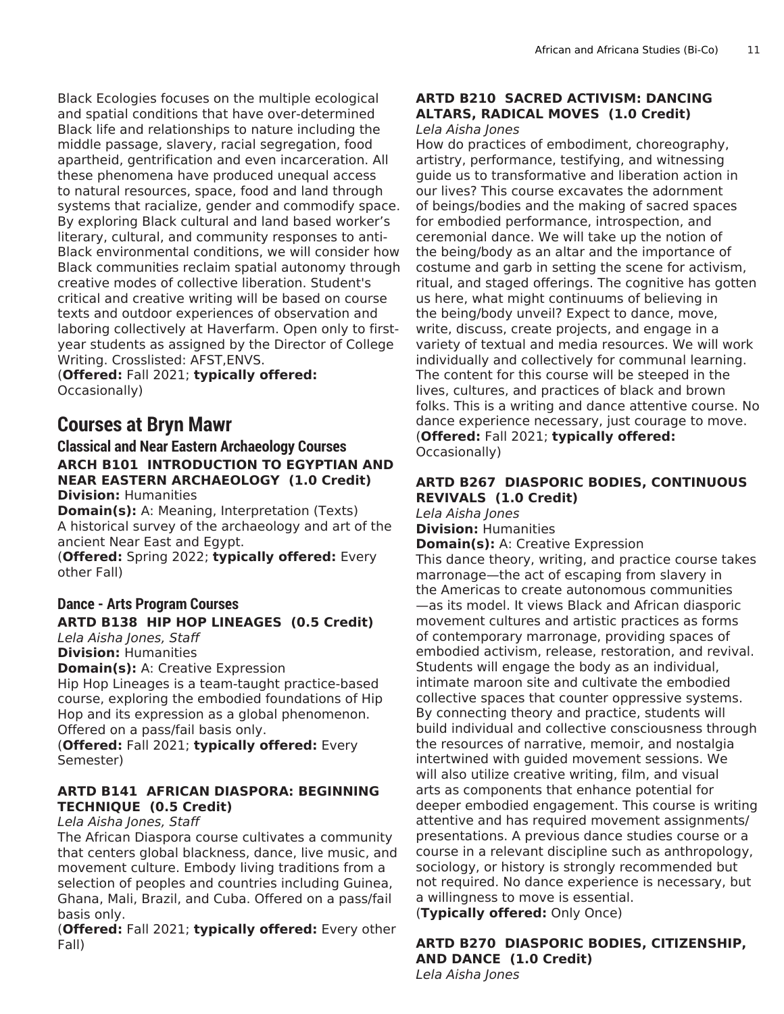Black Ecologies focuses on the multiple ecological and spatial conditions that have over-determined Black life and relationships to nature including the middle passage, slavery, racial segregation, food apartheid, gentrification and even incarceration. All these phenomena have produced unequal access to natural resources, space, food and land through systems that racialize, gender and commodify space. By exploring Black cultural and land based worker's literary, cultural, and community responses to anti-Black environmental conditions, we will consider how Black communities reclaim spatial autonomy through creative modes of collective liberation. Student's critical and creative writing will be based on course texts and outdoor experiences of observation and laboring collectively at Haverfarm. Open only to firstyear students as assigned by the Director of College Writing. Crosslisted: AFST,ENVS.

(**Offered:** Fall 2021; **typically offered:** Occasionally)

# **Courses at Bryn Mawr**

#### **Classical and Near Eastern Archaeology Courses ARCH B101 INTRODUCTION TO EGYPTIAN AND NEAR EASTERN ARCHAEOLOGY (1.0 Credit) Division:** Humanities

**Domain(s):** A: Meaning, Interpretation (Texts) A historical survey of the archaeology and art of the ancient Near East and Egypt.

(**Offered:** Spring 2022; **typically offered:** Every other Fall)

#### **Dance - Arts Program Courses ARTD B138 HIP HOP LINEAGES (0.5 Credit)** *Lela Aisha Jones, Staff*

**Division:** Humanities

**Domain(s):** A: Creative Expression

Hip Hop Lineages is a team-taught practice-based course, exploring the embodied foundations of Hip Hop and its expression as a global phenomenon. Offered on a pass/fail basis only.

(**Offered:** Fall 2021; **typically offered:** Every Semester)

# **ARTD B141 AFRICAN DIASPORA: BEGINNING TECHNIQUE (0.5 Credit)**

### *Lela Aisha Jones, Staff*

The African Diaspora course cultivates a community that centers global blackness, dance, live music, and movement culture. Embody living traditions from a selection of peoples and countries including Guinea, Ghana, Mali, Brazil, and Cuba. Offered on a pass/fail basis only.

(**Offered:** Fall 2021; **typically offered:** Every other Fall)

#### **ARTD B210 SACRED ACTIVISM: DANCING ALTARS, RADICAL MOVES (1.0 Credit)** *Lela Aisha Jones*

How do practices of embodiment, choreography, artistry, performance, testifying, and witnessing guide us to transformative and liberation action in our lives? This course excavates the adornment of beings/bodies and the making of sacred spaces for embodied performance, introspection, and ceremonial dance. We will take up the notion of the being/body as an altar and the importance of costume and garb in setting the scene for activism, ritual, and staged offerings. The cognitive has gotten us here, what might continuums of believing in the being/body unveil? Expect to dance, move, write, discuss, create projects, and engage in a variety of textual and media resources. We will work individually and collectively for communal learning. The content for this course will be steeped in the lives, cultures, and practices of black and brown folks. This is a writing and dance attentive course. No dance experience necessary, just courage to move. (**Offered:** Fall 2021; **typically offered:** Occasionally)

# **ARTD B267 DIASPORIC BODIES, CONTINUOUS REVIVALS (1.0 Credit)**

*Lela Aisha Jones* **Division:** Humanities

**Domain(s):** A: Creative Expression

This dance theory, writing, and practice course takes marronage—the act of escaping from slavery in the Americas to create autonomous communities —as its model. It views Black and African diasporic movement cultures and artistic practices as forms of contemporary marronage, providing spaces of embodied activism, release, restoration, and revival. Students will engage the body as an individual, intimate maroon site and cultivate the embodied collective spaces that counter oppressive systems. By connecting theory and practice, students will build individual and collective consciousness through the resources of narrative, memoir, and nostalgia intertwined with guided movement sessions. We will also utilize creative writing, film, and visual arts as components that enhance potential for deeper embodied engagement. This course is writing attentive and has required movement assignments/ presentations. A previous dance studies course or a course in a relevant discipline such as anthropology, sociology, or history is strongly recommended but not required. No dance experience is necessary, but a willingness to move is essential. (**Typically offered:** Only Once)

**ARTD B270 DIASPORIC BODIES, CITIZENSHIP, AND DANCE (1.0 Credit)** *Lela Aisha Jones*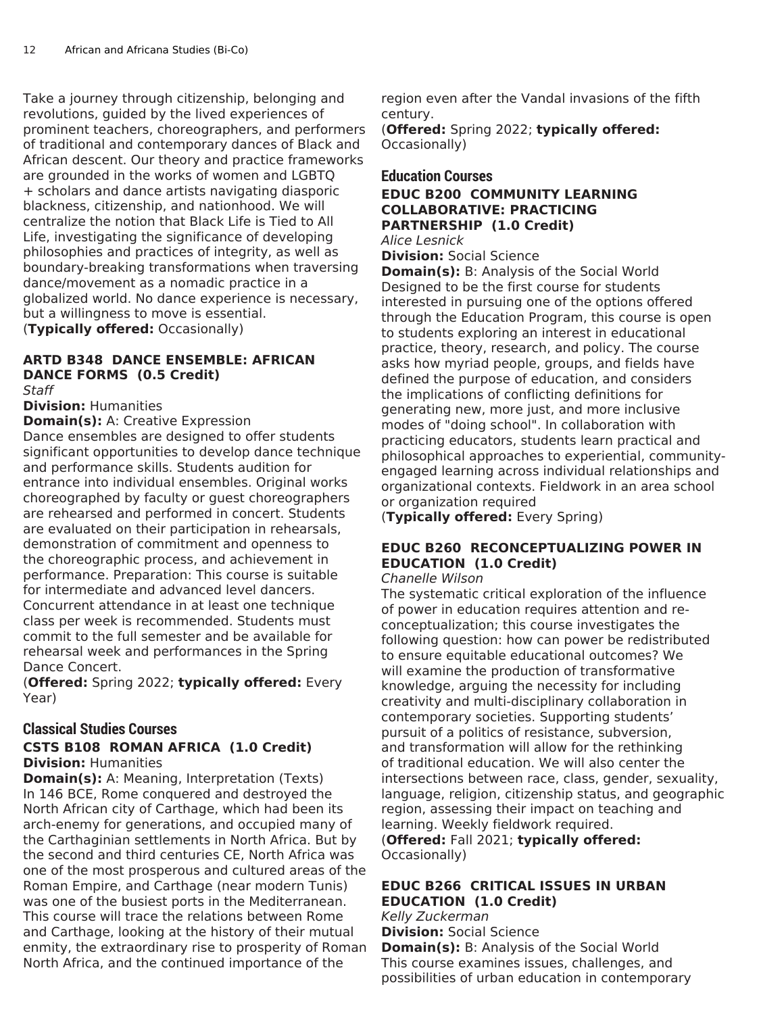Take a journey through citizenship, belonging and revolutions, guided by the lived experiences of prominent teachers, choreographers, and performers of traditional and contemporary dances of Black and African descent. Our theory and practice frameworks are grounded in the works of women and LGBTQ + scholars and dance artists navigating diasporic blackness, citizenship, and nationhood. We will centralize the notion that Black Life is Tied to All Life, investigating the significance of developing philosophies and practices of integrity, as well as boundary-breaking transformations when traversing dance/movement as a nomadic practice in a globalized world. No dance experience is necessary, but a willingness to move is essential. (**Typically offered:** Occasionally)

# **ARTD B348 DANCE ENSEMBLE: AFRICAN DANCE FORMS (0.5 Credit)**

*Staff*

**Division:** Humanities

**Domain(s):** A: Creative Expression

Dance ensembles are designed to offer students significant opportunities to develop dance technique and performance skills. Students audition for entrance into individual ensembles. Original works choreographed by faculty or guest choreographers are rehearsed and performed in concert. Students are evaluated on their participation in rehearsals, demonstration of commitment and openness to the choreographic process, and achievement in performance. Preparation: This course is suitable for intermediate and advanced level dancers. Concurrent attendance in at least one technique class per week is recommended. Students must commit to the full semester and be available for rehearsal week and performances in the Spring Dance Concert.

(**Offered:** Spring 2022; **typically offered:** Every Year)

#### **Classical Studies Courses CSTS B108 ROMAN AFRICA (1.0 Credit) Division:** Humanities

**Domain(s):** A: Meaning, Interpretation (Texts) In 146 BCE, Rome conquered and destroyed the North African city of Carthage, which had been its arch-enemy for generations, and occupied many of the Carthaginian settlements in North Africa. But by the second and third centuries CE, North Africa was one of the most prosperous and cultured areas of the Roman Empire, and Carthage (near modern Tunis) was one of the busiest ports in the Mediterranean. This course will trace the relations between Rome and Carthage, looking at the history of their mutual enmity, the extraordinary rise to prosperity of Roman North Africa, and the continued importance of the

region even after the Vandal invasions of the fifth century. (**Offered:** Spring 2022; **typically offered:** Occasionally)

### **Education Courses EDUC B200 COMMUNITY LEARNING COLLABORATIVE: PRACTICING PARTNERSHIP (1.0 Credit)**

*Alice Lesnick*

**Division:** Social Science

**Domain(s):** B: Analysis of the Social World Designed to be the first course for students interested in pursuing one of the options offered through the Education Program, this course is open to students exploring an interest in educational practice, theory, research, and policy. The course asks how myriad people, groups, and fields have defined the purpose of education, and considers the implications of conflicting definitions for generating new, more just, and more inclusive modes of "doing school". In collaboration with practicing educators, students learn practical and philosophical approaches to experiential, communityengaged learning across individual relationships and organizational contexts. Fieldwork in an area school or organization required

(**Typically offered:** Every Spring)

# **EDUC B260 RECONCEPTUALIZING POWER IN EDUCATION (1.0 Credit)**

### *Chanelle Wilson*

The systematic critical exploration of the influence of power in education requires attention and reconceptualization; this course investigates the following question: how can power be redistributed to ensure equitable educational outcomes? We will examine the production of transformative knowledge, arguing the necessity for including creativity and multi-disciplinary collaboration in contemporary societies. Supporting students' pursuit of a politics of resistance, subversion, and transformation will allow for the rethinking of traditional education. We will also center the intersections between race, class, gender, sexuality, language, religion, citizenship status, and geographic region, assessing their impact on teaching and learning. Weekly fieldwork required. (**Offered:** Fall 2021; **typically offered:**

Occasionally)

# **EDUC B266 CRITICAL ISSUES IN URBAN EDUCATION (1.0 Credit)**

*Kelly Zuckerman* **Division:** Social Science **Domain(s):** B: Analysis of the Social World This course examines issues, challenges, and possibilities of urban education in contemporary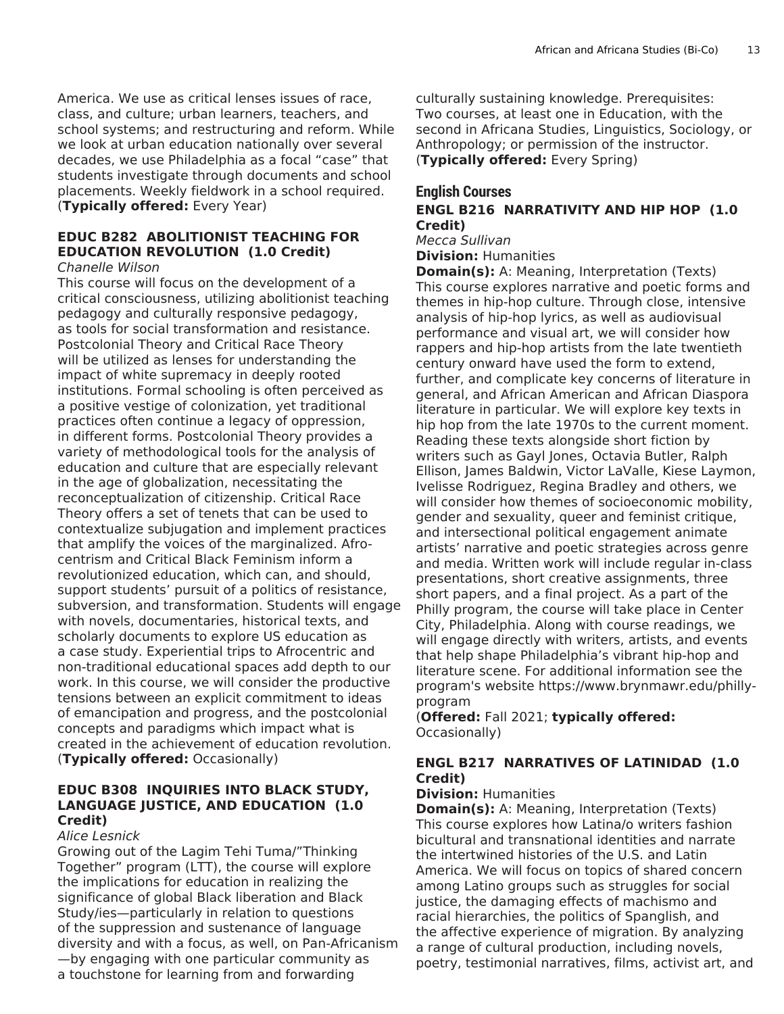America. We use as critical lenses issues of race, class, and culture; urban learners, teachers, and school systems; and restructuring and reform. While we look at urban education nationally over several decades, we use Philadelphia as a focal "case" that students investigate through documents and school placements. Weekly fieldwork in a school required. (**Typically offered:** Every Year)

#### **EDUC B282 ABOLITIONIST TEACHING FOR EDUCATION REVOLUTION (1.0 Credit)** *Chanelle Wilson*

This course will focus on the development of a critical consciousness, utilizing abolitionist teaching pedagogy and culturally responsive pedagogy, as tools for social transformation and resistance. Postcolonial Theory and Critical Race Theory will be utilized as lenses for understanding the impact of white supremacy in deeply rooted institutions. Formal schooling is often perceived as a positive vestige of colonization, yet traditional practices often continue a legacy of oppression, in different forms. Postcolonial Theory provides a variety of methodological tools for the analysis of education and culture that are especially relevant in the age of globalization, necessitating the reconceptualization of citizenship. Critical Race Theory offers a set of tenets that can be used to contextualize subjugation and implement practices that amplify the voices of the marginalized. Afrocentrism and Critical Black Feminism inform a revolutionized education, which can, and should, support students' pursuit of a politics of resistance, subversion, and transformation. Students will engage with novels, documentaries, historical texts, and scholarly documents to explore US education as a case study. Experiential trips to Afrocentric and non-traditional educational spaces add depth to our work. In this course, we will consider the productive tensions between an explicit commitment to ideas of emancipation and progress, and the postcolonial concepts and paradigms which impact what is created in the achievement of education revolution. (**Typically offered:** Occasionally)

## **EDUC B308 INQUIRIES INTO BLACK STUDY, LANGUAGE JUSTICE, AND EDUCATION (1.0 Credit)**

#### *Alice Lesnick*

Growing out of the Lagim Tehi Tuma/"Thinking Together" program (LTT), the course will explore the implications for education in realizing the significance of global Black liberation and Black Study/ies—particularly in relation to questions of the suppression and sustenance of language diversity and with a focus, as well, on Pan-Africanism —by engaging with one particular community as a touchstone for learning from and forwarding

culturally sustaining knowledge. Prerequisites: Two courses, at least one in Education, with the second in Africana Studies, Linguistics, Sociology, or Anthropology; or permission of the instructor. (**Typically offered:** Every Spring)

#### **English Courses ENGL B216 NARRATIVITY AND HIP HOP (1.0 Credit)**

*Mecca Sullivan* **Division:** Humanities

**Domain(s):** A: Meaning, Interpretation (Texts) This course explores narrative and poetic forms and themes in hip-hop culture. Through close, intensive analysis of hip-hop lyrics, as well as audiovisual performance and visual art, we will consider how rappers and hip-hop artists from the late twentieth century onward have used the form to extend, further, and complicate key concerns of literature in general, and African American and African Diaspora literature in particular. We will explore key texts in hip hop from the late 1970s to the current moment. Reading these texts alongside short fiction by writers such as Gayl Jones, Octavia Butler, Ralph Ellison, James Baldwin, Victor LaValle, Kiese Laymon, Ivelisse Rodriguez, Regina Bradley and others, we will consider how themes of socioeconomic mobility, gender and sexuality, queer and feminist critique, and intersectional political engagement animate artists' narrative and poetic strategies across genre and media. Written work will include regular in-class presentations, short creative assignments, three short papers, and a final project. As a part of the Philly program, the course will take place in Center City, Philadelphia. Along with course readings, we will engage directly with writers, artists, and events that help shape Philadelphia's vibrant hip-hop and literature scene. For additional information see the program's website https://www.brynmawr.edu/phillyprogram

(**Offered:** Fall 2021; **typically offered:** Occasionally)

## **ENGL B217 NARRATIVES OF LATINIDAD (1.0 Credit)**

### **Division:** Humanities

**Domain(s):** A: Meaning, Interpretation (Texts) This course explores how Latina/o writers fashion bicultural and transnational identities and narrate the intertwined histories of the U.S. and Latin America. We will focus on topics of shared concern among Latino groups such as struggles for social justice, the damaging effects of machismo and racial hierarchies, the politics of Spanglish, and the affective experience of migration. By analyzing a range of cultural production, including novels, poetry, testimonial narratives, films, activist art, and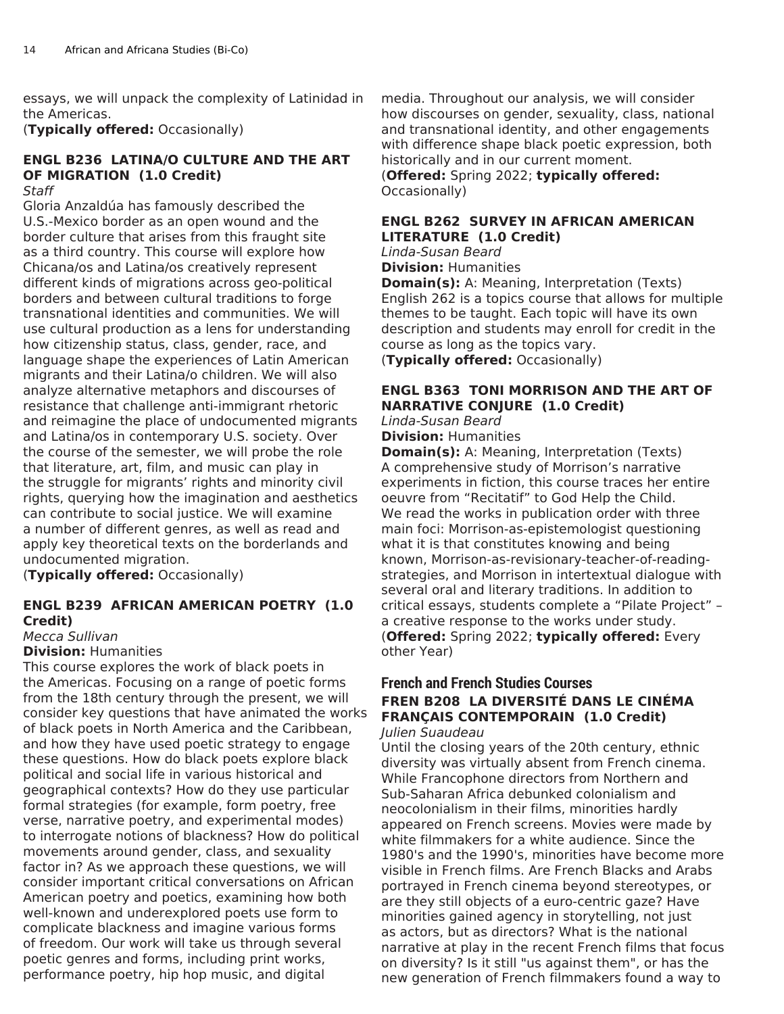essays, we will unpack the complexity of Latinidad in the Americas.

(**Typically offered:** Occasionally)

#### **ENGL B236 LATINA/O CULTURE AND THE ART OF MIGRATION (1.0 Credit)** *Staff*

Gloria Anzaldúa has famously described the U.S.-Mexico border as an open wound and the border culture that arises from this fraught site as a third country. This course will explore how Chicana/os and Latina/os creatively represent different kinds of migrations across geo-political borders and between cultural traditions to forge transnational identities and communities. We will use cultural production as a lens for understanding how citizenship status, class, gender, race, and language shape the experiences of Latin American migrants and their Latina/o children. We will also analyze alternative metaphors and discourses of resistance that challenge anti-immigrant rhetoric and reimagine the place of undocumented migrants and Latina/os in contemporary U.S. society. Over the course of the semester, we will probe the role that literature, art, film, and music can play in the struggle for migrants' rights and minority civil rights, querying how the imagination and aesthetics can contribute to social justice. We will examine a number of different genres, as well as read and apply key theoretical texts on the borderlands and undocumented migration.

(**Typically offered:** Occasionally)

# **ENGL B239 AFRICAN AMERICAN POETRY (1.0 Credit)**

*Mecca Sullivan*

#### **Division:** Humanities

This course explores the work of black poets in the Americas. Focusing on a range of poetic forms from the 18th century through the present, we will consider key questions that have animated the works of black poets in North America and the Caribbean, and how they have used poetic strategy to engage these questions. How do black poets explore black political and social life in various historical and geographical contexts? How do they use particular formal strategies (for example, form poetry, free verse, narrative poetry, and experimental modes) to interrogate notions of blackness? How do political movements around gender, class, and sexuality factor in? As we approach these questions, we will consider important critical conversations on African American poetry and poetics, examining how both well-known and underexplored poets use form to complicate blackness and imagine various forms of freedom. Our work will take us through several poetic genres and forms, including print works, performance poetry, hip hop music, and digital

media. Throughout our analysis, we will consider how discourses on gender, sexuality, class, national and transnational identity, and other engagements with difference shape black poetic expression, both historically and in our current moment.

(**Offered:** Spring 2022; **typically offered:** Occasionally)

# **ENGL B262 SURVEY IN AFRICAN AMERICAN LITERATURE (1.0 Credit)**

*Linda-Susan Beard* **Division:** Humanities

**Domain(s):** A: Meaning, Interpretation (Texts) English 262 is a topics course that allows for multiple themes to be taught. Each topic will have its own description and students may enroll for credit in the course as long as the topics vary. (**Typically offered:** Occasionally)

# **ENGL B363 TONI MORRISON AND THE ART OF NARRATIVE CONJURE (1.0 Credit)**

*Linda-Susan Beard*

**Division:** Humanities

**Domain(s):** A: Meaning, Interpretation (Texts) A comprehensive study of Morrison's narrative experiments in fiction, this course traces her entire oeuvre from "Recitatif" to God Help the Child. We read the works in publication order with three main foci: Morrison-as-epistemologist questioning what it is that constitutes knowing and being known, Morrison-as-revisionary-teacher-of-readingstrategies, and Morrison in intertextual dialogue with several oral and literary traditions. In addition to critical essays, students complete a "Pilate Project" – a creative response to the works under study. (**Offered:** Spring 2022; **typically offered:** Every other Year)

# **French and French Studies Courses FREN B208 LA DIVERSITÉ DANS LE CINÉMA FRANÇAIS CONTEMPORAIN (1.0 Credit)**

*Julien Suaudeau*

Until the closing years of the 20th century, ethnic diversity was virtually absent from French cinema. While Francophone directors from Northern and Sub-Saharan Africa debunked colonialism and neocolonialism in their films, minorities hardly appeared on French screens. Movies were made by white filmmakers for a white audience. Since the 1980's and the 1990's, minorities have become more visible in French films. Are French Blacks and Arabs portrayed in French cinema beyond stereotypes, or are they still objects of a euro-centric gaze? Have minorities gained agency in storytelling, not just as actors, but as directors? What is the national narrative at play in the recent French films that focus on diversity? Is it still "us against them", or has the new generation of French filmmakers found a way to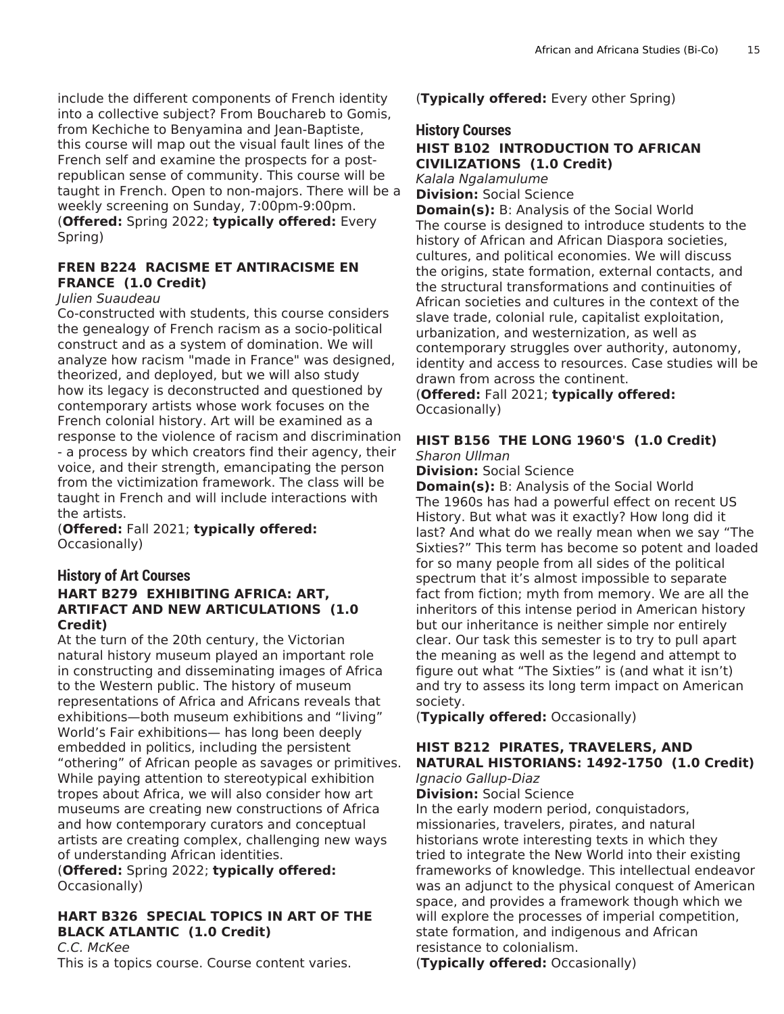include the different components of French identity into a collective subject? From Bouchareb to Gomis, from Kechiche to Benyamina and Jean-Baptiste, this course will map out the visual fault lines of the French self and examine the prospects for a postrepublican sense of community. This course will be taught in French. Open to non-majors. There will be a weekly screening on Sunday, 7:00pm-9:00pm. (**Offered:** Spring 2022; **typically offered:** Every Spring)

# **FREN B224 RACISME ET ANTIRACISME EN FRANCE (1.0 Credit)**

### *Julien Suaudeau*

Co-constructed with students, this course considers the genealogy of French racism as a socio-political construct and as a system of domination. We will analyze how racism "made in France" was designed, theorized, and deployed, but we will also study how its legacy is deconstructed and questioned by contemporary artists whose work focuses on the French colonial history. Art will be examined as a response to the violence of racism and discrimination - a process by which creators find their agency, their voice, and their strength, emancipating the person from the victimization framework. The class will be taught in French and will include interactions with the artists.

(**Offered:** Fall 2021; **typically offered:** Occasionally)

### **History of Art Courses HART B279 EXHIBITING AFRICA: ART, ARTIFACT AND NEW ARTICULATIONS (1.0 Credit)**

At the turn of the 20th century, the Victorian natural history museum played an important role in constructing and disseminating images of Africa to the Western public. The history of museum representations of Africa and Africans reveals that exhibitions—both museum exhibitions and "living" World's Fair exhibitions— has long been deeply embedded in politics, including the persistent "othering" of African people as savages or primitives. While paying attention to stereotypical exhibition tropes about Africa, we will also consider how art museums are creating new constructions of Africa and how contemporary curators and conceptual artists are creating complex, challenging new ways of understanding African identities.

(**Offered:** Spring 2022; **typically offered:** Occasionally)

# **HART B326 SPECIAL TOPICS IN ART OF THE BLACK ATLANTIC (1.0 Credit)**

*C.C. McKee*

This is a topics course. Course content varies.

(**Typically offered:** Every other Spring)

# **History Courses HIST B102 INTRODUCTION TO AFRICAN CIVILIZATIONS (1.0 Credit)**

*Kalala Ngalamulume* **Division:** Social Science

**Domain(s):** B: Analysis of the Social World The course is designed to introduce students to the history of African and African Diaspora societies, cultures, and political economies. We will discuss the origins, state formation, external contacts, and the structural transformations and continuities of African societies and cultures in the context of the slave trade, colonial rule, capitalist exploitation, urbanization, and westernization, as well as contemporary struggles over authority, autonomy, identity and access to resources. Case studies will be drawn from across the continent.

(**Offered:** Fall 2021; **typically offered:** Occasionally)

#### **HIST B156 THE LONG 1960'S (1.0 Credit)** *Sharon Ullman*

**Division:** Social Science

**Domain(s):** B: Analysis of the Social World The 1960s has had a powerful effect on recent US History. But what was it exactly? How long did it last? And what do we really mean when we say "The Sixties?" This term has become so potent and loaded for so many people from all sides of the political spectrum that it's almost impossible to separate fact from fiction; myth from memory. We are all the inheritors of this intense period in American history but our inheritance is neither simple nor entirely clear. Our task this semester is to try to pull apart the meaning as well as the legend and attempt to figure out what "The Sixties" is (and what it isn't) and try to assess its long term impact on American society.

(**Typically offered:** Occasionally)

#### **HIST B212 PIRATES, TRAVELERS, AND NATURAL HISTORIANS: 1492-1750 (1.0 Credit)** *Ignacio Gallup-Diaz*

**Division:** Social Science

In the early modern period, conquistadors, missionaries, travelers, pirates, and natural historians wrote interesting texts in which they tried to integrate the New World into their existing frameworks of knowledge. This intellectual endeavor was an adjunct to the physical conquest of American space, and provides a framework though which we will explore the processes of imperial competition, state formation, and indigenous and African resistance to colonialism.

(**Typically offered:** Occasionally)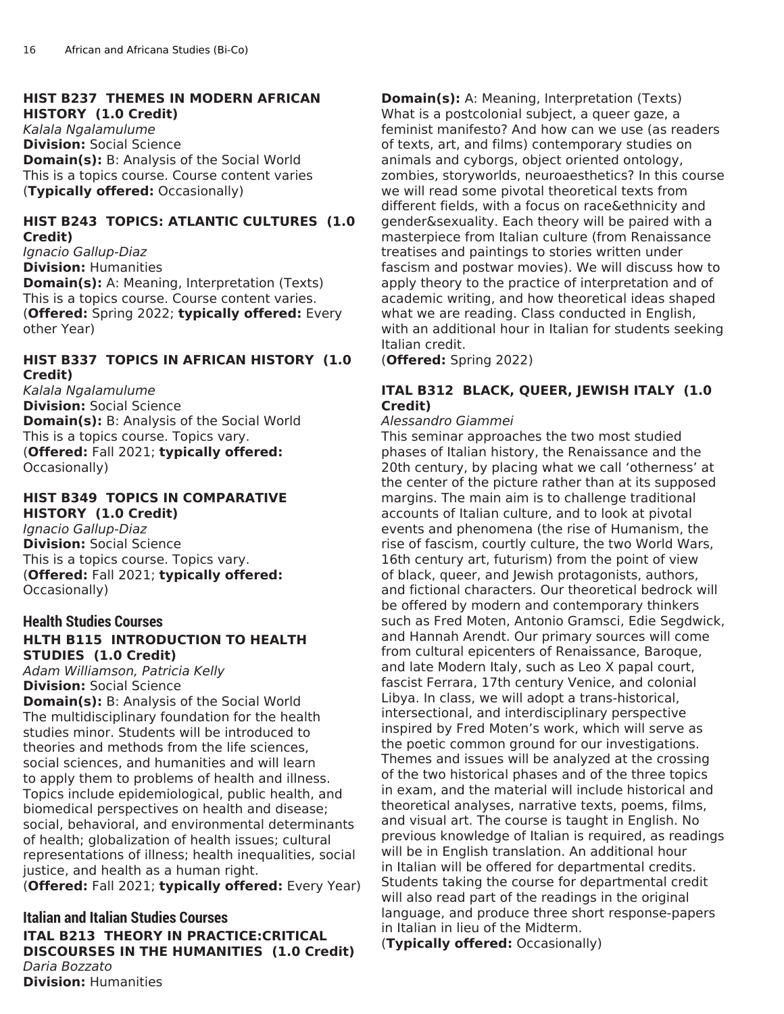### **HIST B237 THEMES IN MODERN AFRICAN HISTORY (1.0 Credit)**

*Kalala Ngalamulume* **Division:** Social Science **Domain(s):** B: Analysis of the Social World This is a topics course. Course content varies (**Typically offered:** Occasionally)

## **HIST B243 TOPICS: ATLANTIC CULTURES (1.0 Credit)**

*Ignacio Gallup-Diaz* **Division:** Humanities **Domain(s):** A: Meaning, Interpretation (Texts) This is a topics course. Course content varies. (**Offered:** Spring 2022; **typically offered:** Every other Year)

# **HIST B337 TOPICS IN AFRICAN HISTORY (1.0 Credit)**

*Kalala Ngalamulume* **Division:** Social Science **Domain(s):** B: Analysis of the Social World This is a topics course. Topics vary. (**Offered:** Fall 2021; **typically offered:** Occasionally)

# **HIST B349 TOPICS IN COMPARATIVE HISTORY (1.0 Credit)**

*Ignacio Gallup-Diaz* **Division:** Social Science This is a topics course. Topics vary. (**Offered:** Fall 2021; **typically offered:** Occasionally)

### **Health Studies Courses HLTH B115 INTRODUCTION TO HEALTH STUDIES (1.0 Credit)**

*Adam Williamson, Patricia Kelly* **Division:** Social Science

**Domain(s):** B: Analysis of the Social World The multidisciplinary foundation for the health studies minor. Students will be introduced to theories and methods from the life sciences, social sciences, and humanities and will learn to apply them to problems of health and illness. Topics include epidemiological, public health, and biomedical perspectives on health and disease; social, behavioral, and environmental determinants of health; globalization of health issues; cultural representations of illness; health inequalities, social justice, and health as a human right.

(**Offered:** Fall 2021; **typically offered:** Every Year)

**Italian and Italian Studies Courses ITAL B213 THEORY IN PRACTICE:CRITICAL DISCOURSES IN THE HUMANITIES (1.0 Credit)** *Daria Bozzato* **Division:** Humanities

**Domain(s):** A: Meaning, Interpretation (Texts) What is a postcolonial subject, a queer gaze, a feminist manifesto? And how can we use (as readers of texts, art, and films) contemporary studies on animals and cyborgs, object oriented ontology, zombies, storyworlds, neuroaesthetics? In this course we will read some pivotal theoretical texts from different fields, with a focus on race&ethnicity and gender&sexuality. Each theory will be paired with a masterpiece from Italian culture (from Renaissance treatises and paintings to stories written under fascism and postwar movies). We will discuss how to apply theory to the practice of interpretation and of academic writing, and how theoretical ideas shaped what we are reading. Class conducted in English, with an additional hour in Italian for students seeking Italian credit.

(**Offered:** Spring 2022)

# **ITAL B312 BLACK, QUEER, JEWISH ITALY (1.0 Credit)**

### *Alessandro Giammei*

This seminar approaches the two most studied phases of Italian history, the Renaissance and the 20th century, by placing what we call 'otherness' at the center of the picture rather than at its supposed margins. The main aim is to challenge traditional accounts of Italian culture, and to look at pivotal events and phenomena (the rise of Humanism, the rise of fascism, courtly culture, the two World Wars, 16th century art, futurism) from the point of view of black, queer, and Jewish protagonists, authors, and fictional characters. Our theoretical bedrock will be offered by modern and contemporary thinkers such as Fred Moten, Antonio Gramsci, Edie Segdwick, and Hannah Arendt. Our primary sources will come from cultural epicenters of Renaissance, Baroque, and late Modern Italy, such as Leo X papal court, fascist Ferrara, 17th century Venice, and colonial Libya. In class, we will adopt a trans-historical, intersectional, and interdisciplinary perspective inspired by Fred Moten's work, which will serve as the poetic common ground for our investigations. Themes and issues will be analyzed at the crossing of the two historical phases and of the three topics in exam, and the material will include historical and theoretical analyses, narrative texts, poems, films, and visual art. The course is taught in English. No previous knowledge of Italian is required, as readings will be in English translation. An additional hour in Italian will be offered for departmental credits. Students taking the course for departmental credit will also read part of the readings in the original language, and produce three short response-papers in Italian in lieu of the Midterm.

(**Typically offered:** Occasionally)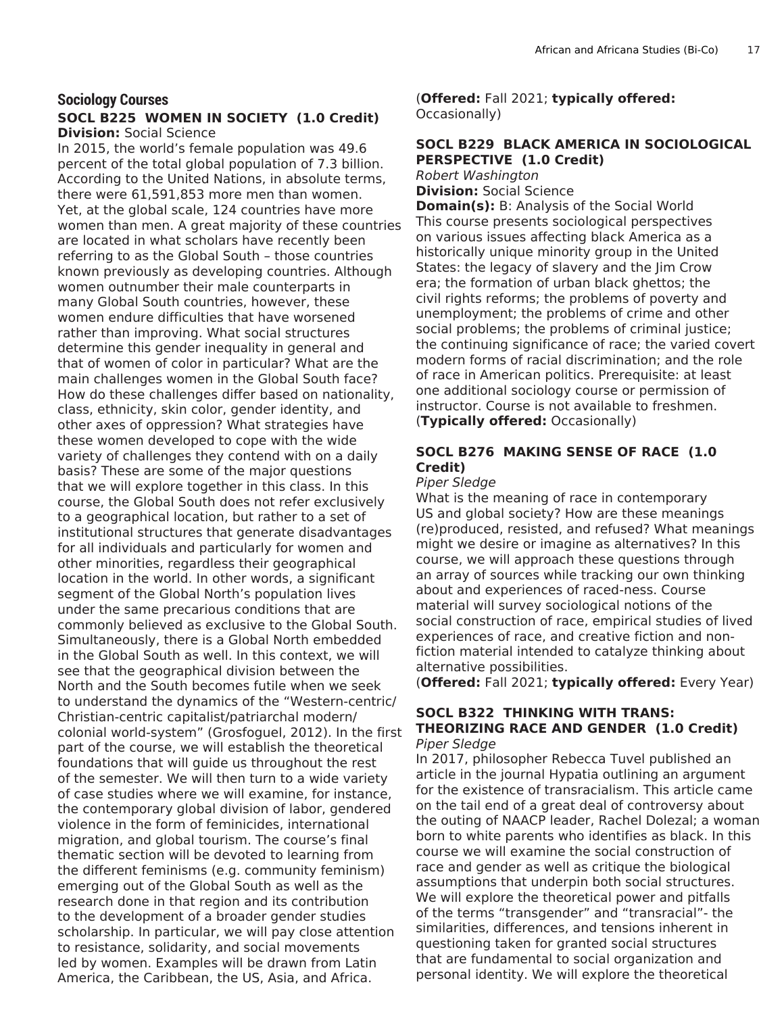### **Sociology Courses**

#### **SOCL B225 WOMEN IN SOCIETY (1.0 Credit) Division:** Social Science

In 2015, the world's female population was 49.6 percent of the total global population of 7.3 billion. According to the United Nations, in absolute terms, there were 61,591,853 more men than women. Yet, at the global scale, 124 countries have more women than men. A great majority of these countries are located in what scholars have recently been referring to as the Global South – those countries known previously as developing countries. Although women outnumber their male counterparts in many Global South countries, however, these women endure difficulties that have worsened rather than improving. What social structures determine this gender inequality in general and that of women of color in particular? What are the main challenges women in the Global South face? How do these challenges differ based on nationality, class, ethnicity, skin color, gender identity, and other axes of oppression? What strategies have these women developed to cope with the wide variety of challenges they contend with on a daily basis? These are some of the major questions that we will explore together in this class. In this course, the Global South does not refer exclusively to a geographical location, but rather to a set of institutional structures that generate disadvantages for all individuals and particularly for women and other minorities, regardless their geographical location in the world. In other words, a significant segment of the Global North's population lives under the same precarious conditions that are commonly believed as exclusive to the Global South. Simultaneously, there is a Global North embedded in the Global South as well. In this context, we will see that the geographical division between the North and the South becomes futile when we seek to understand the dynamics of the "Western-centric/ Christian-centric capitalist/patriarchal modern/ colonial world-system" (Grosfoguel, 2012). In the first part of the course, we will establish the theoretical foundations that will guide us throughout the rest of the semester. We will then turn to a wide variety of case studies where we will examine, for instance, the contemporary global division of labor, gendered violence in the form of feminicides, international migration, and global tourism. The course's final thematic section will be devoted to learning from the different feminisms (e.g. community feminism) emerging out of the Global South as well as the research done in that region and its contribution to the development of a broader gender studies scholarship. In particular, we will pay close attention to resistance, solidarity, and social movements led by women. Examples will be drawn from Latin America, the Caribbean, the US, Asia, and Africa.

(**Offered:** Fall 2021; **typically offered:** Occasionally)

# **SOCL B229 BLACK AMERICA IN SOCIOLOGICAL PERSPECTIVE (1.0 Credit)**

*Robert Washington*

**Division:** Social Science

**Domain(s):** B: Analysis of the Social World This course presents sociological perspectives on various issues affecting black America as a historically unique minority group in the United States: the legacy of slavery and the Jim Crow era; the formation of urban black ghettos; the civil rights reforms; the problems of poverty and unemployment; the problems of crime and other social problems; the problems of criminal justice; the continuing significance of race; the varied covert modern forms of racial discrimination; and the role of race in American politics. Prerequisite: at least one additional sociology course or permission of instructor. Course is not available to freshmen. (**Typically offered:** Occasionally)

### **SOCL B276 MAKING SENSE OF RACE (1.0 Credit)**

#### *Piper Sledge*

What is the meaning of race in contemporary US and global society? How are these meanings (re)produced, resisted, and refused? What meanings might we desire or imagine as alternatives? In this course, we will approach these questions through an array of sources while tracking our own thinking about and experiences of raced-ness. Course material will survey sociological notions of the social construction of race, empirical studies of lived experiences of race, and creative fiction and nonfiction material intended to catalyze thinking about alternative possibilities.

(**Offered:** Fall 2021; **typically offered:** Every Year)

#### **SOCL B322 THINKING WITH TRANS: THEORIZING RACE AND GENDER (1.0 Credit)** *Piper Sledge*

In 2017, philosopher Rebecca Tuvel published an article in the journal Hypatia outlining an argument for the existence of transracialism. This article came on the tail end of a great deal of controversy about the outing of NAACP leader, Rachel Dolezal; a woman born to white parents who identifies as black. In this course we will examine the social construction of race and gender as well as critique the biological assumptions that underpin both social structures. We will explore the theoretical power and pitfalls of the terms "transgender" and "transracial"- the similarities, differences, and tensions inherent in questioning taken for granted social structures that are fundamental to social organization and personal identity. We will explore the theoretical